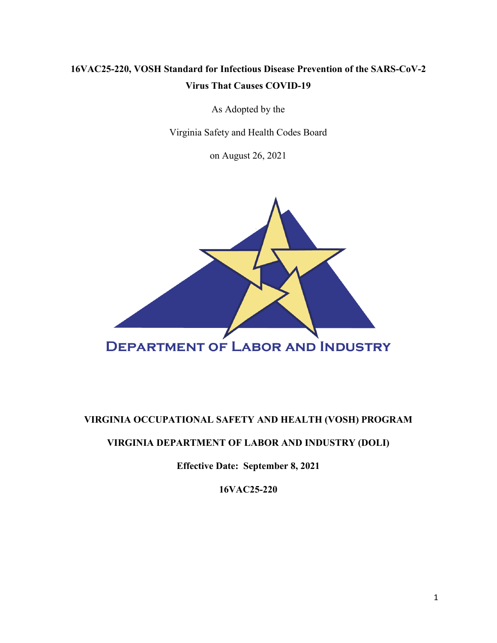## **16VAC25-220, VOSH Standard for Infectious Disease Prevention of the SARS-CoV-2 Virus That Causes COVID-19**

As Adopted by the

Virginia Safety and Health Codes Board

on August 26, 2021



## **VIRGINIA OCCUPATIONAL SAFETY AND HEALTH (VOSH) PROGRAM**

## **VIRGINIA DEPARTMENT OF LABOR AND INDUSTRY (DOLI)**

**Effective Date: September 8, 2021**

**16VAC25-220**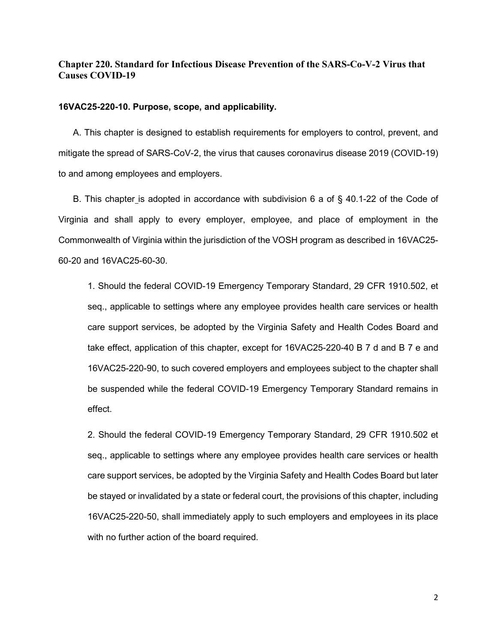### **Chapter 220. Standard for Infectious Disease Prevention of the SARS-Co-V-2 Virus that Causes COVID-19**

#### **16VAC25-220-10. Purpose, scope, and applicability.**

A. This chapter is designed to establish requirements for employers to control, prevent, and mitigate the spread of SARS-CoV-2, the virus that causes coronavirus disease 2019 (COVID-19) to and among employees and employers.

B. This chapter is adopted in accordance with subdivision 6 a of § 40.1-22 of the Code of Virginia and shall apply to every employer, employee, and place of employment in the Commonwealth of Virginia within the jurisdiction of the VOSH program as described in 16VAC25- 60-20 and 16VAC25-60-30.

1. Should the federal COVID-19 Emergency Temporary Standard, 29 CFR 1910.502, et seq., applicable to settings where any employee provides health care services or health care support services, be adopted by the Virginia Safety and Health Codes Board and take effect, application of this chapter, except for 16VAC25-220-40 B 7 d and B 7 e and 16VAC25-220-90, to such covered employers and employees subject to the chapter shall be suspended while the federal COVID-19 Emergency Temporary Standard remains in effect.

2. Should the federal COVID-19 Emergency Temporary Standard, 29 CFR 1910.502 et seq., applicable to settings where any employee provides health care services or health care support services, be adopted by the Virginia Safety and Health Codes Board but later be stayed or invalidated by a state or federal court, the provisions of this chapter, including 16VAC25-220-50, shall immediately apply to such employers and employees in its place with no further action of the board required.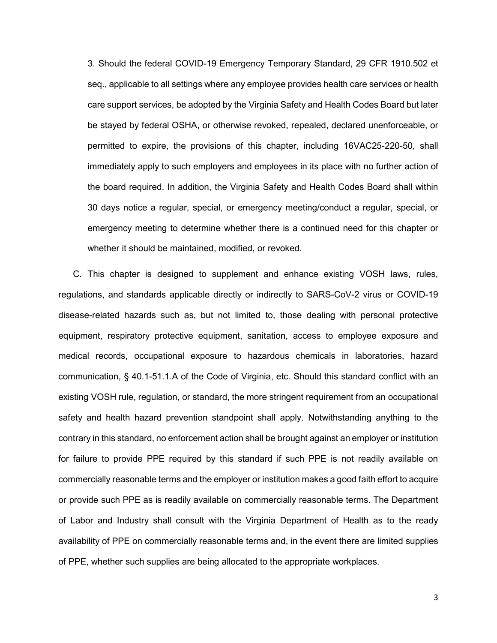3. Should the federal COVID-19 Emergency Temporary Standard, 29 CFR 1910.502 et seq., applicable to all settings where any employee provides health care services or health care support services, be adopted by the Virginia Safety and Health Codes Board but later be stayed by federal OSHA, or otherwise revoked, repealed, declared unenforceable, or permitted to expire, the provisions of this chapter, including 16VAC25-220-50, shall immediately apply to such employers and employees in its place with no further action of the board required. In addition, the Virginia Safety and Health Codes Board shall within 30 days notice a regular, special, or emergency meeting/conduct a regular, special, or emergency meeting to determine whether there is a continued need for this chapter or whether it should be maintained, modified, or revoked.

C. This chapter is designed to supplement and enhance existing VOSH laws, rules, regulations, and standards applicable directly or indirectly to SARS-CoV-2 virus or COVID-19 disease-related hazards such as, but not limited to, those dealing with personal protective equipment, respiratory protective equipment, sanitation, access to employee exposure and medical records, occupational exposure to hazardous chemicals in laboratories, hazard communication, § 40.1-51.1.A of the Code of Virginia, etc. Should this standard conflict with an existing VOSH rule, regulation, or standard, the more stringent requirement from an occupational safety and health hazard prevention standpoint shall apply. Notwithstanding anything to the contrary in this standard, no enforcement action shall be brought against an employer or institution for failure to provide PPE required by this standard if such PPE is not readily available on commercially reasonable terms and the employer or institution makes a good faith effort to acquire or provide such PPE as is readily available on commercially reasonable terms. The Department of Labor and Industry shall consult with the Virginia Department of Health as to the ready availability of PPE on commercially reasonable terms and, in the event there are limited supplies of PPE, whether such supplies are being allocated to the appropriate workplaces.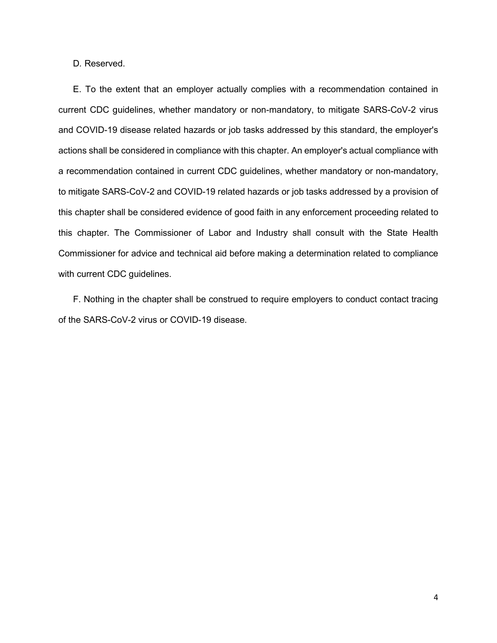D*.* Reserved.

E. To the extent that an employer actually complies with a recommendation contained in current CDC guidelines, whether mandatory or non-mandatory, to mitigate SARS-CoV-2 virus and COVID-19 disease related hazards or job tasks addressed by this standard, the employer's actions shall be considered in compliance with this chapter. An employer's actual compliance with a recommendation contained in current CDC guidelines, whether mandatory or non-mandatory, to mitigate SARS-CoV-2 and COVID-19 related hazards or job tasks addressed by a provision of this chapter shall be considered evidence of good faith in any enforcement proceeding related to this chapter. The Commissioner of Labor and Industry shall consult with the State Health Commissioner for advice and technical aid before making a determination related to compliance with current CDC guidelines.

F. Nothing in the chapter shall be construed to require employers to conduct contact tracing of the SARS-CoV-2 virus or COVID-19 disease.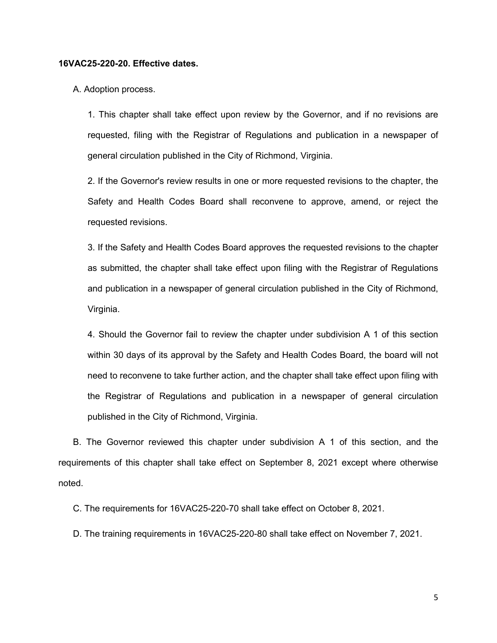#### **16VAC25-220-20. Effective dates.**

A. Adoption process.

1. This chapter shall take effect upon review by the Governor, and if no revisions are requested, filing with the Registrar of Regulations and publication in a newspaper of general circulation published in the City of Richmond, Virginia.

2. If the Governor's review results in one or more requested revisions to the chapter, the Safety and Health Codes Board shall reconvene to approve, amend, or reject the requested revisions.

3. If the Safety and Health Codes Board approves the requested revisions to the chapter as submitted, the chapter shall take effect upon filing with the Registrar of Regulations and publication in a newspaper of general circulation published in the City of Richmond, Virginia.

4. Should the Governor fail to review the chapter under subdivision A 1 of this section within 30 days of its approval by the Safety and Health Codes Board, the board will not need to reconvene to take further action, and the chapter shall take effect upon filing with the Registrar of Regulations and publication in a newspaper of general circulation published in the City of Richmond, Virginia.

B. The Governor reviewed this chapter under subdivision A 1 of this section, and the requirements of this chapter shall take effect on September 8, 2021 except where otherwise noted.

C. The requirements for 16VAC25-220-70 shall take effect on October 8, 2021.

D. The training requirements in 16VAC25-220-80 shall take effect on November 7, 2021.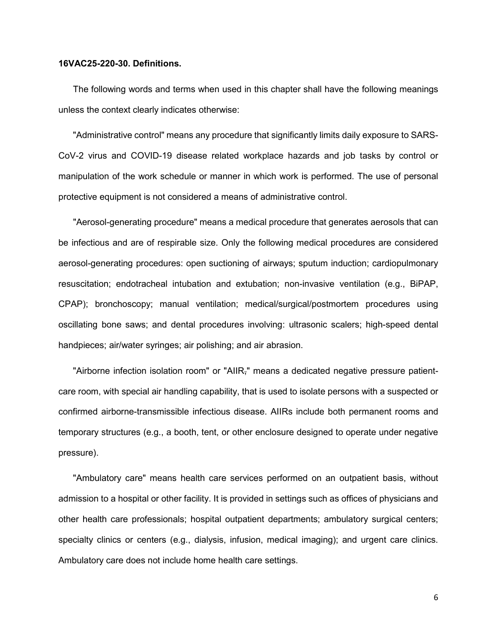#### **16VAC25-220-30. Definitions.**

The following words and terms when used in this chapter shall have the following meanings unless the context clearly indicates otherwise:

"Administrative control" means any procedure that significantly limits daily exposure to SARS-CoV-2 virus and COVID-19 disease related workplace hazards and job tasks by control or manipulation of the work schedule or manner in which work is performed. The use of personal protective equipment is not considered a means of administrative control.

"Aerosol-generating procedure" means a medical procedure that generates aerosols that can be infectious and are of respirable size. Only the following medical procedures are considered aerosol-generating procedures: open suctioning of airways; sputum induction; cardiopulmonary resuscitation; endotracheal intubation and extubation; non-invasive ventilation (e.g., BiPAP, CPAP); bronchoscopy; manual ventilation; medical/surgical/postmortem procedures using oscillating bone saws; and dental procedures involving: ultrasonic scalers; high-speed dental handpieces; air/water syringes; air polishing; and air abrasion.

"Airborne infection isolation room" or "AIIR," means a dedicated negative pressure patientcare room, with special air handling capability, that is used to isolate persons with a suspected or confirmed airborne-transmissible infectious disease. AIIRs include both permanent rooms and temporary structures (e.g., a booth, tent, or other enclosure designed to operate under negative pressure).

"Ambulatory care" means health care services performed on an outpatient basis, without admission to a hospital or other facility. It is provided in settings such as offices of physicians and other health care professionals; hospital outpatient departments; ambulatory surgical centers; specialty clinics or centers (e.g., dialysis, infusion, medical imaging); and urgent care clinics. Ambulatory care does not include home health care settings.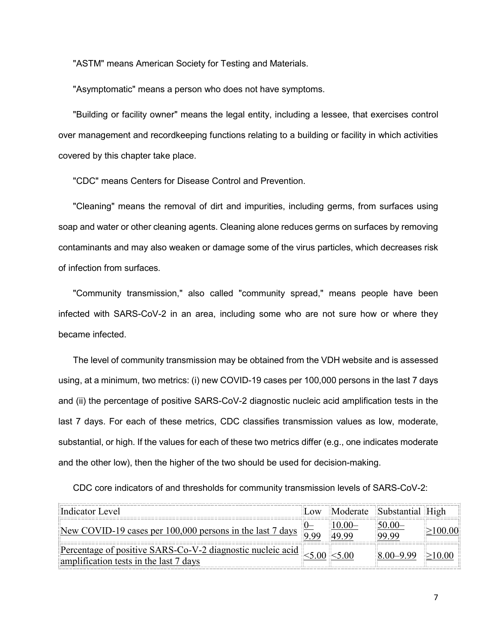"ASTM" means American Society for Testing and Materials.

"Asymptomatic" means a person who does not have symptoms.

"Building or facility owner" means the legal entity, including a lessee, that exercises control over management and recordkeeping functions relating to a building or facility in which activities covered by this chapter take place.

"CDC" means Centers for Disease Control and Prevention.

"Cleaning" means the removal of dirt and impurities, including germs, from surfaces using soap and water or other cleaning agents. Cleaning alone reduces germs on surfaces by removing contaminants and may also weaken or damage some of the virus particles, which decreases risk of infection from surfaces*.*

"Community transmission," also called "community spread," means people have been infected with SARS-CoV-2 in an area, including some who are not sure how or where they became infected.

The level of community transmission may be obtained from the VDH website and is assessed using, at a minimum, two metrics: (i) new COVID-19 cases per 100,000 persons in the last 7 days and (ii) the percentage of positive SARS-CoV-2 diagnostic nucleic acid amplification tests in the last 7 days. For each of these metrics, CDC classifies transmission values as low, moderate, substantial, or high. If the values for each of these two metrics differ (e.g., one indicates moderate and the other low), then the higher of the two should be used for decision-making.

CDC core indicators of and thresholds for community transmission levels of SARS-CoV-2:

| Indicator Level                                                                                                  |                                     | Low Moderate Substantial High |  |
|------------------------------------------------------------------------------------------------------------------|-------------------------------------|-------------------------------|--|
| New COVID-19 cases per 100,000 persons in the last 7 days $\frac{0}{9}$                                          | <u> 10.00–</u><br>$\parallel$ 49.99 | $50.00-$<br>99.99             |  |
| Percentage of positive SARS-Co-V-2 diagnostic nucleic acid <5.00 <5.00<br>amplification tests in the last 7 days |                                     | $\ 8.00 - 9.99\  \ge 10.00$   |  |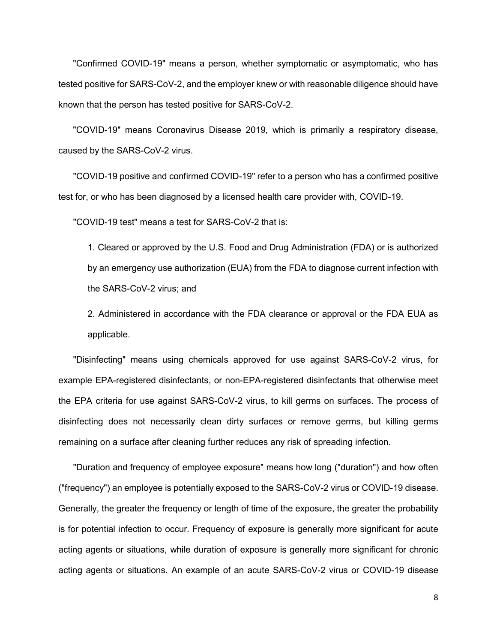"Confirmed COVID-19" means a person, whether symptomatic or asymptomatic, who has tested positive for SARS-CoV-2, and the employer knew or with reasonable diligence should have known that the person has tested positive for SARS-CoV-2.

"COVID-19" means Coronavirus Disease 2019, which is primarily a respiratory disease, caused by the SARS-CoV-2 virus.

"COVID-19 positive and confirmed COVID-19" refer to a person who has a confirmed positive test for, or who has been diagnosed by a licensed health care provider with, COVID-19.

"COVID-19 test" means a test for SARS-CoV-2 that is:

1. Cleared or approved by the U.S. Food and Drug Administration (FDA) or is authorized by an emergency use authorization (EUA) from the FDA to diagnose current infection with the SARS-CoV-2 virus; and

2. Administered in accordance with the FDA clearance or approval or the FDA EUA as applicable.

"Disinfecting" means using chemicals approved for use against SARS-CoV-2 virus, for example EPA-registered disinfectants, or non-EPA-registered disinfectants that otherwise meet the EPA criteria for use against SARS-CoV-2 virus, to kill germs on surfaces. The process of disinfecting does not necessarily clean dirty surfaces or remove germs, but killing germs remaining on a surface after cleaning further reduces any risk of spreading infection.

"Duration and frequency of employee exposure" means how long ("duration") and how often ("frequency") an employee is potentially exposed to the SARS-CoV-2 virus or COVID-19 disease. Generally, the greater the frequency or length of time of the exposure, the greater the probability is for potential infection to occur. Frequency of exposure is generally more significant for acute acting agents or situations, while duration of exposure is generally more significant for chronic acting agents or situations. An example of an acute SARS-CoV-2 virus or COVID-19 disease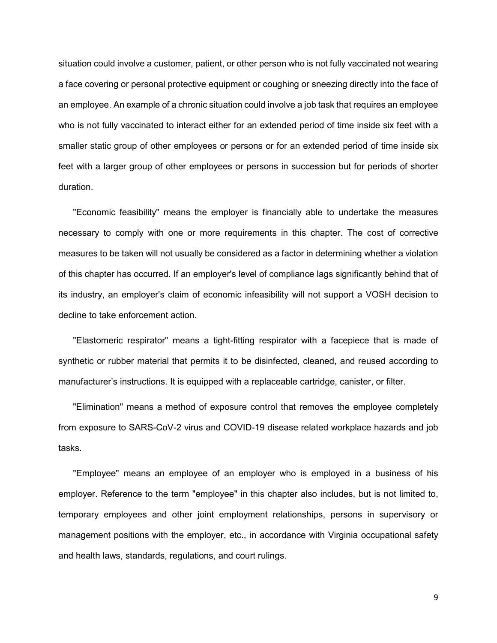situation could involve a customer, patient, or other person who is not fully vaccinated not wearing a face covering or personal protective equipment or coughing or sneezing directly into the face of an employee. An example of a chronic situation could involve a job task that requires an employee who is not fully vaccinated to interact either for an extended period of time inside six feet with a smaller static group of other employees or persons or for an extended period of time inside six feet with a larger group of other employees or persons in succession but for periods of shorter duration.

"Economic feasibility" means the employer is financially able to undertake the measures necessary to comply with one or more requirements in this chapter. The cost of corrective measures to be taken will not usually be considered as a factor in determining whether a violation of this chapter has occurred. If an employer's level of compliance lags significantly behind that of its industry, an employer's claim of economic infeasibility will not support a VOSH decision to decline to take enforcement action.

"Elastomeric respirator" means a tight-fitting respirator with a facepiece that is made of synthetic or rubber material that permits it to be disinfected, cleaned, and reused according to manufacturer's instructions. It is equipped with a replaceable cartridge, canister, or filter.

"Elimination" means a method of exposure control that removes the employee completely from exposure to SARS-CoV-2 virus and COVID-19 disease related workplace hazards and job tasks.

"Employee" means an employee of an employer who is employed in a business of his employer. Reference to the term "employee" in this chapter also includes, but is not limited to, temporary employees and other joint employment relationships, persons in supervisory or management positions with the employer, etc., in accordance with Virginia occupational safety and health laws, standards, regulations, and court rulings.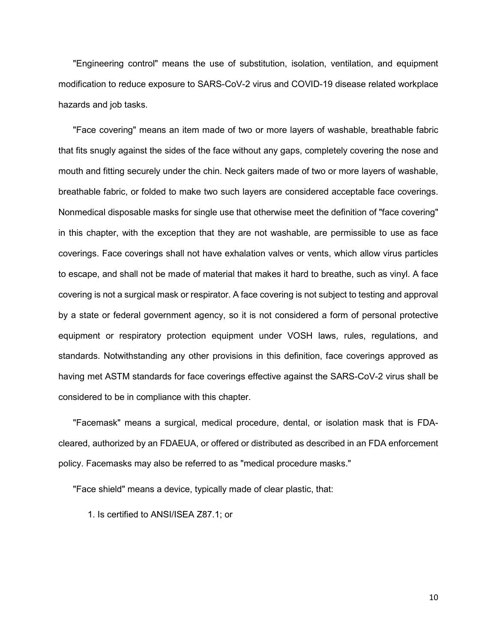"Engineering control" means the use of substitution, isolation, ventilation, and equipment modification to reduce exposure to SARS-CoV-2 virus and COVID-19 disease related workplace hazards and job tasks.

"Face covering" means an item made of two or more layers of washable, breathable fabric that fits snugly against the sides of the face without any gaps, completely covering the nose and mouth and fitting securely under the chin. Neck gaiters made of two or more layers of washable, breathable fabric, or folded to make two such layers are considered acceptable face coverings. Nonmedical disposable masks for single use that otherwise meet the definition of "face covering" in this chapter, with the exception that they are not washable, are permissible to use as face coverings. Face coverings shall not have exhalation valves or vents, which allow virus particles to escape, and shall not be made of material that makes it hard to breathe, such as vinyl. A face covering is not a surgical mask or respirator. A face covering is not subject to testing and approval by a state or federal government agency, so it is not considered a form of personal protective equipment or respiratory protection equipment under VOSH laws, rules, regulations, and standards. Notwithstanding any other provisions in this definition, face coverings approved as having met ASTM standards for face coverings effective against the SARS-CoV-2 virus shall be considered to be in compliance with this chapter.

"Facemask" means a surgical, medical procedure, dental, or isolation mask that is FDAcleared, authorized by an FDAEUA, or offered or distributed as described in an FDA enforcement policy. Facemasks may also be referred to as "medical procedure masks."

"Face shield" means a device, typically made of clear plastic, that:

1. Is certified to ANSI/ISEA Z87.1; or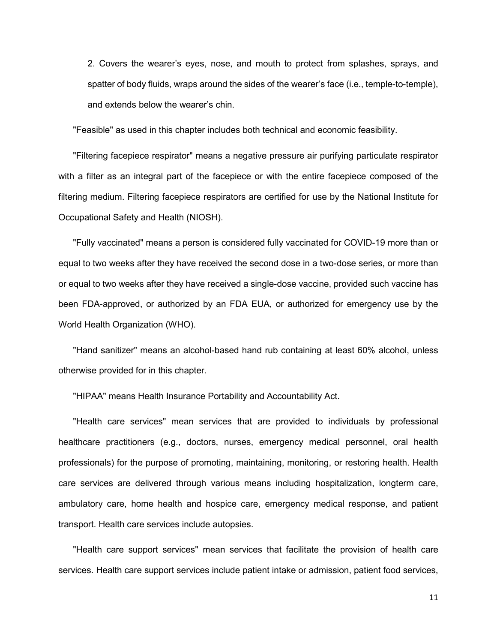2. Covers the wearer's eyes, nose, and mouth to protect from splashes, sprays, and spatter of body fluids, wraps around the sides of the wearer's face (i.e., temple-to-temple), and extends below the wearer's chin.

"Feasible" as used in this chapter includes both technical and economic feasibility.

"Filtering facepiece respirator" means a negative pressure air purifying particulate respirator with a filter as an integral part of the facepiece or with the entire facepiece composed of the filtering medium. Filtering facepiece respirators are certified for use by the National Institute for Occupational Safety and Health (NIOSH).

"Fully vaccinated" means a person is considered fully vaccinated for COVID-19 more than or equal to two weeks after they have received the second dose in a two-dose series, or more than or equal to two weeks after they have received a single-dose vaccine, provided such vaccine has been FDA-approved, or authorized by an FDA EUA, or authorized for emergency use by the World Health Organization (WHO).

"Hand sanitizer" means an alcohol-based hand rub containing at least 60% alcohol, unless otherwise provided for in this chapter.

"HIPAA" means Health Insurance Portability and Accountability Act.

"Health care services" mean services that are provided to individuals by professional healthcare practitioners (e.g., doctors, nurses, emergency medical personnel, oral health professionals) for the purpose of promoting, maintaining, monitoring, or restoring health. Health care services are delivered through various means including hospitalization, longterm care, ambulatory care, home health and hospice care, emergency medical response, and patient transport. Health care services include autopsies.

"Health care support services" mean services that facilitate the provision of health care services. Health care support services include patient intake or admission, patient food services,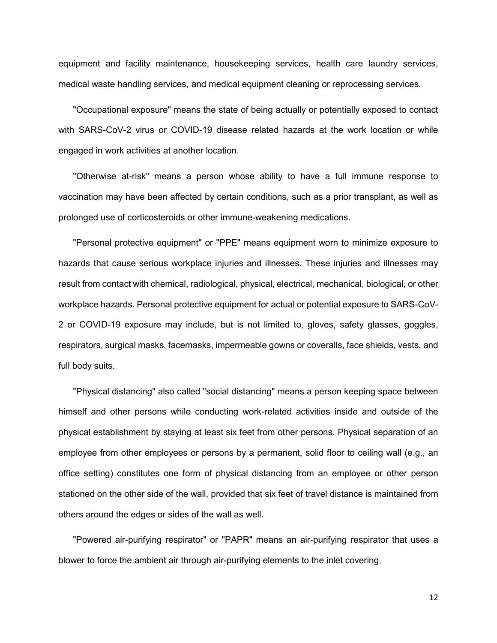equipment and facility maintenance, housekeeping services, health care laundry services, medical waste handling services, and medical equipment cleaning or reprocessing services.

"Occupational exposure" means the state of being actually or potentially exposed to contact with SARS-CoV-2 virus or COVID-19 disease related hazards at the work location or while engaged in work activities at another location.

"Otherwise at-risk" means a person whose ability to have a full immune response to vaccination may have been affected by certain conditions, such as a prior transplant, as well as prolonged use of corticosteroids or other immune-weakening medications.

"Personal protective equipment" or "PPE" means equipment worn to minimize exposure to hazards that cause serious workplace injuries and illnesses. These injuries and illnesses may result from contact with chemical, radiological, physical, electrical, mechanical, biological, or other workplace hazards. Personal protective equipment for actual or potential exposure to SARS-CoV-2 or COVID-19 exposure may include, but is not limited to, gloves, safety glasses, goggles, respirators, surgical masks, facemasks, impermeable gowns or coveralls, face shields, vests, and full body suits.

"Physical distancing" also called "social distancing" means a person keeping space between himself and other persons while conducting work-related activities inside and outside of the physical establishment by staying at least six feet from other persons. Physical separation of an employee from other employees or persons by a permanent, solid floor to ceiling wall (e.g., an office setting) constitutes one form of physical distancing from an employee or other person stationed on the other side of the wall, provided that six feet of travel distance is maintained from others around the edges or sides of the wall as well.

"Powered air-purifying respirator" or "PAPR" means an air-purifying respirator that uses a blower to force the ambient air through air-purifying elements to the inlet covering.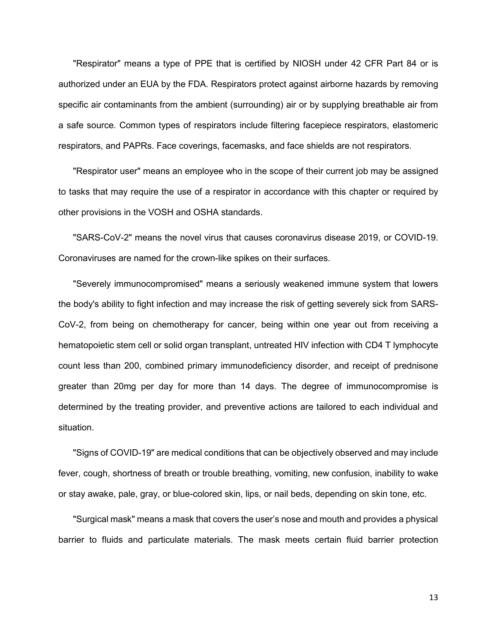"Respirator" means a type of PPE that is certified by NIOSH under 42 CFR Part 84 or is authorized under an EUA by the FDA. Respirators protect against airborne hazards by removing specific air contaminants from the ambient (surrounding) air or by supplying breathable air from a safe source. Common types of respirators include filtering facepiece respirators, elastomeric respirators, and PAPRs. Face coverings, facemasks, and face shields are not respirators.

"Respirator user" means an employee who in the scope of their current job may be assigned to tasks that may require the use of a respirator in accordance with this chapter or required by other provisions in the VOSH and OSHA standards.

"SARS-CoV-2" means the novel virus that causes coronavirus disease 2019, or COVID-19. Coronaviruses are named for the crown-like spikes on their surfaces.

"Severely immunocompromised" means a seriously weakened immune system that lowers the body's ability to fight infection and may increase the risk of getting severely sick from SARS-CoV-2, from being on chemotherapy for cancer, being within one year out from receiving a hematopoietic stem cell or solid organ transplant, untreated HIV infection with CD4 T lymphocyte count less than 200, combined primary immunodeficiency disorder, and receipt of prednisone greater than 20mg per day for more than 14 days. The degree of immunocompromise is determined by the treating provider, and preventive actions are tailored to each individual and situation.

"Signs of COVID-19" are medical conditions that can be objectively observed and may include fever, cough, shortness of breath or trouble breathing, vomiting, new confusion, inability to wake or stay awake, pale, gray, or blue-colored skin, lips, or nail beds, depending on skin tone, etc.

"Surgical mask" means a mask that covers the user's nose and mouth and provides a physical barrier to fluids and particulate materials. The mask meets certain fluid barrier protection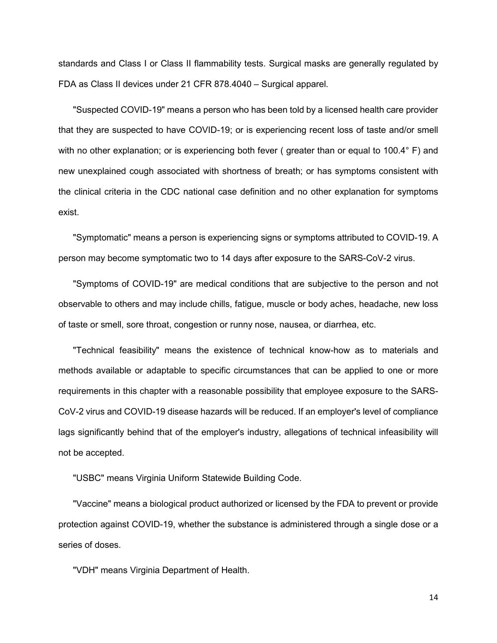standards and Class I or Class II flammability tests. Surgical masks are generally regulated by FDA as Class II devices under 21 CFR 878.4040 – Surgical apparel.

"Suspected COVID-19" means a person who has been told by a licensed health care provider that they are suspected to have COVID-19; or is experiencing recent loss of taste and/or smell with no other explanation; or is experiencing both fever (greater than or equal to 100.4° F) and new unexplained cough associated with shortness of breath; or has symptoms consistent with the clinical criteria in the CDC national case definition and no other explanation for symptoms exist.

"Symptomatic" means a person is experiencing signs or symptoms attributed to COVID-19. A person may become symptomatic two to 14 days after exposure to the SARS-CoV-2 virus.

"Symptoms of COVID-19" are medical conditions that are subjective to the person and not observable to others and may include chills, fatigue, muscle or body aches, headache, new loss of taste or smell, sore throat, congestion or runny nose, nausea, or diarrhea, etc.

"Technical feasibility" means the existence of technical know-how as to materials and methods available or adaptable to specific circumstances that can be applied to one or more requirements in this chapter with a reasonable possibility that employee exposure to the SARS-CoV-2 virus and COVID-19 disease hazards will be reduced. If an employer's level of compliance lags significantly behind that of the employer's industry, allegations of technical infeasibility will not be accepted.

"USBC" means Virginia Uniform Statewide Building Code.

"Vaccine" means a biological product authorized or licensed by the FDA to prevent or provide protection against COVID-19, whether the substance is administered through a single dose or a series of doses.

"VDH" means Virginia Department of Health.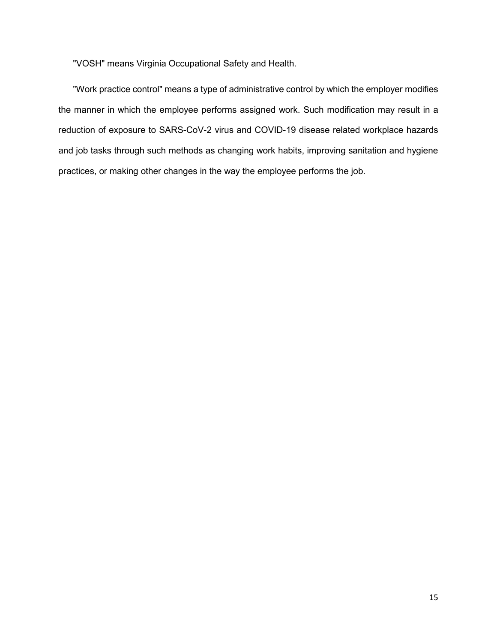"VOSH" means Virginia Occupational Safety and Health.

"Work practice control" means a type of administrative control by which the employer modifies the manner in which the employee performs assigned work. Such modification may result in a reduction of exposure to SARS-CoV-2 virus and COVID-19 disease related workplace hazards and job tasks through such methods as changing work habits, improving sanitation and hygiene practices, or making other changes in the way the employee performs the job.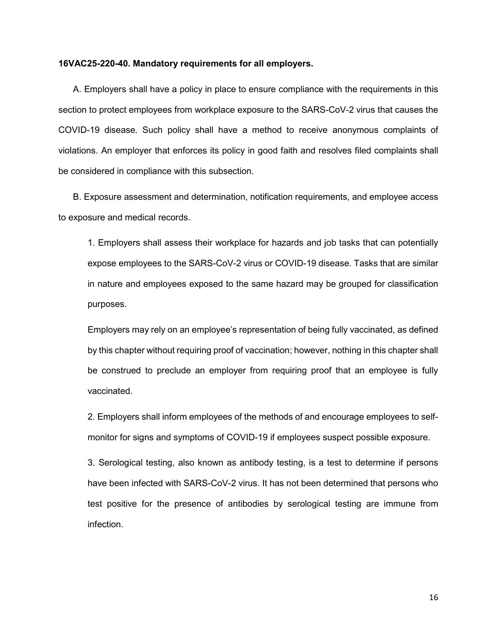#### **16VAC25-220-40. Mandatory requirements for all employers.**

A. Employers shall have a policy in place to ensure compliance with the requirements in this section to protect employees from workplace exposure to the SARS-CoV-2 virus that causes the COVID-19 disease. Such policy shall have a method to receive anonymous complaints of violations. An employer that enforces its policy in good faith and resolves filed complaints shall be considered in compliance with this subsection.

B. Exposure assessment and determination, notification requirements, and employee access to exposure and medical records.

1. Employers shall assess their workplace for hazards and job tasks that can potentially expose employees to the SARS-CoV-2 virus or COVID-19 disease. Tasks that are similar in nature and employees exposed to the same hazard may be grouped for classification purposes.

Employers may rely on an employee's representation of being fully vaccinated, as defined by this chapter without requiring proof of vaccination; however, nothing in this chapter shall be construed to preclude an employer from requiring proof that an employee is fully vaccinated.

2. Employers shall inform employees of the methods of and encourage employees to selfmonitor for signs and symptoms of COVID-19 if employees suspect possible exposure.

3. Serological testing, also known as antibody testing, is a test to determine if persons have been infected with SARS-CoV-2 virus. It has not been determined that persons who test positive for the presence of antibodies by serological testing are immune from infection.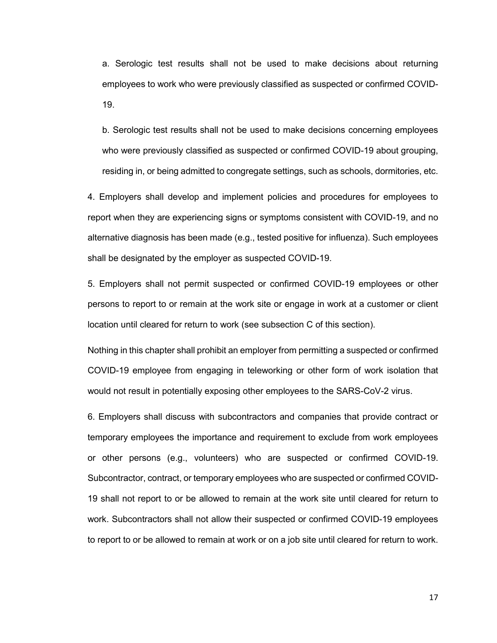a. Serologic test results shall not be used to make decisions about returning employees to work who were previously classified as suspected or confirmed COVID-19.

b. Serologic test results shall not be used to make decisions concerning employees who were previously classified as suspected or confirmed COVID-19 about grouping, residing in, or being admitted to congregate settings, such as schools, dormitories, etc.

4. Employers shall develop and implement policies and procedures for employees to report when they are experiencing signs or symptoms consistent with COVID-19, and no alternative diagnosis has been made (e.g., tested positive for influenza). Such employees shall be designated by the employer as suspected COVID-19.

5. Employers shall not permit suspected or confirmed COVID-19 employees or other persons to report to or remain at the work site or engage in work at a customer or client location until cleared for return to work (see subsection C of this section).

Nothing in this chapter shall prohibit an employer from permitting a suspected or confirmed COVID-19 employee from engaging in teleworking or other form of work isolation that would not result in potentially exposing other employees to the SARS-CoV-2 virus.

6. Employers shall discuss with subcontractors and companies that provide contract or temporary employees the importance and requirement to exclude from work employees or other persons (e.g., volunteers) who are suspected or confirmed COVID-19. Subcontractor, contract, or temporary employees who are suspected or confirmed COVID-19 shall not report to or be allowed to remain at the work site until cleared for return to work. Subcontractors shall not allow their suspected or confirmed COVID-19 employees to report to or be allowed to remain at work or on a job site until cleared for return to work.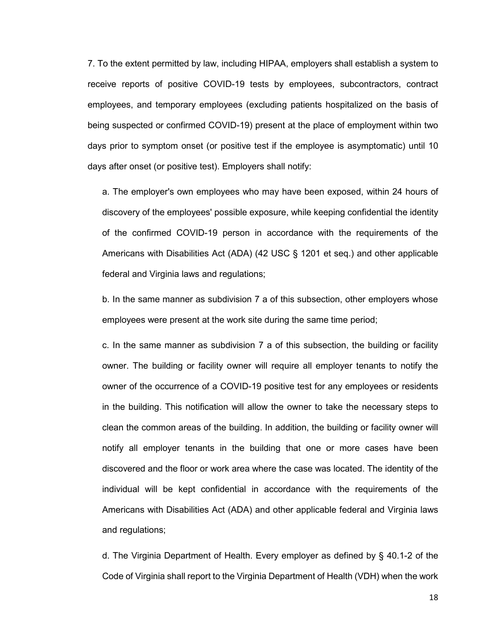7. To the extent permitted by law, including HIPAA, employers shall establish a system to receive reports of positive COVID-19 tests by employees, subcontractors, contract employees, and temporary employees (excluding patients hospitalized on the basis of being suspected or confirmed COVID-19) present at the place of employment within two days prior to symptom onset (or positive test if the employee is asymptomatic) until 10 days after onset (or positive test). Employers shall notify:

a. The employer's own employees who may have been exposed, within 24 hours of discovery of the employees' possible exposure, while keeping confidential the identity of the confirmed COVID-19 person in accordance with the requirements of the Americans with Disabilities Act (ADA) (42 USC § 1201 et seq.) and other applicable federal and Virginia laws and regulations;

b. In the same manner as subdivision 7 a of this subsection, other employers whose employees were present at the work site during the same time period;

c. In the same manner as subdivision 7 a of this subsection, the building or facility owner. The building or facility owner will require all employer tenants to notify the owner of the occurrence of a COVID-19 positive test for any employees or residents in the building. This notification will allow the owner to take the necessary steps to clean the common areas of the building. In addition, the building or facility owner will notify all employer tenants in the building that one or more cases have been discovered and the floor or work area where the case was located. The identity of the individual will be kept confidential in accordance with the requirements of the Americans with Disabilities Act (ADA) and other applicable federal and Virginia laws and regulations;

d. The Virginia Department of Health. Every employer as defined by § 40.1-2 of the Code of Virginia shall report to the Virginia Department of Health (VDH) when the work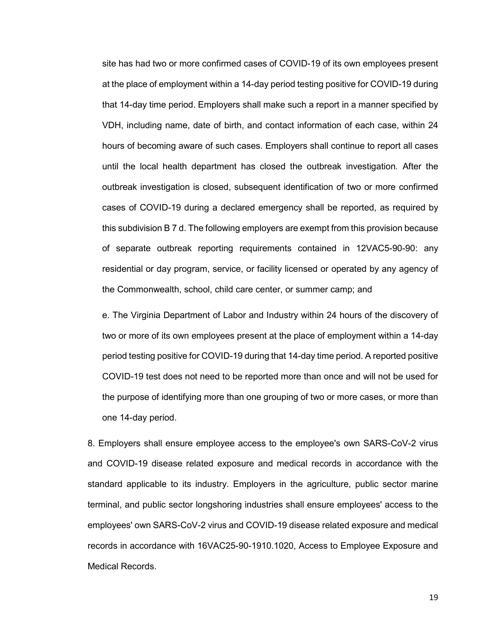site has had two or more confirmed cases of COVID-19 of its own employees present at the place of employment within a 14-day period testing positive for COVID-19 during that 14-day time period. Employers shall make such a report in a manner specified by VDH, including name, date of birth, and contact information of each case, within 24 hours of becoming aware of such cases. Employers shall continue to report all cases until the local health department has closed the outbreak investigation*.* After the outbreak investigation is closed, subsequent identification of two or more confirmed cases of COVID-19 during a declared emergency shall be reported, as required by this subdivision B 7 d. The following employers are exempt from this provision because of separate outbreak reporting requirements contained in 12VAC5-90-90: any residential or day program, service, or facility licensed or operated by any agency of the Commonwealth, school, child care center, or summer camp; and

e. The Virginia Department of Labor and Industry within 24 hours of the discovery of two or more of its own employees present at the place of employment within a 14-day period testing positive for COVID-19 during that 14-day time period. A reported positive COVID-19 test does not need to be reported more than once and will not be used for the purpose of identifying more than one grouping of two or more cases, or more than one 14-day period.

8. Employers shall ensure employee access to the employee's own SARS-CoV-2 virus and COVID-19 disease related exposure and medical records in accordance with the standard applicable to its industry. Employers in the agriculture, public sector marine terminal, and public sector longshoring industries shall ensure employees' access to the employees' own SARS-CoV-2 virus and COVID-19 disease related exposure and medical records in accordance with 16VAC25-90-1910.1020, Access to Employee Exposure and Medical Records.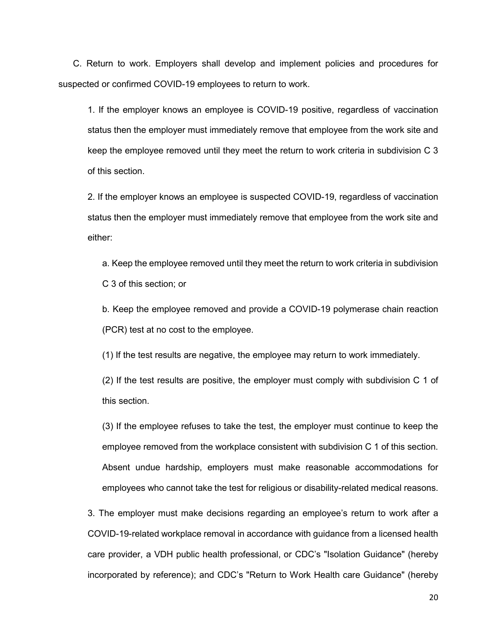C. Return to work. Employers shall develop and implement policies and procedures for suspected or confirmed COVID-19 employees to return to work.

1. If the employer knows an employee is COVID-19 positive, regardless of vaccination status then the employer must immediately remove that employee from the work site and keep the employee removed until they meet the return to work criteria in subdivision C 3 of this section.

2. If the employer knows an employee is suspected COVID-19, regardless of vaccination status then the employer must immediately remove that employee from the work site and either:

a. Keep the employee removed until they meet the return to work criteria in subdivision C 3 of this section; or

b. Keep the employee removed and provide a COVID-19 polymerase chain reaction (PCR) test at no cost to the employee.

(1) If the test results are negative, the employee may return to work immediately.

(2) If the test results are positive, the employer must comply with subdivision C 1 of this section.

(3) If the employee refuses to take the test, the employer must continue to keep the employee removed from the workplace consistent with subdivision C 1 of this section. Absent undue hardship, employers must make reasonable accommodations for employees who cannot take the test for religious or disability-related medical reasons.

3. The employer must make decisions regarding an employee's return to work after a COVID-19-related workplace removal in accordance with guidance from a licensed health care provider, a VDH public health professional, or CDC's "Isolation Guidance" (hereby incorporated by reference); and CDC's "Return to Work Health care Guidance" (hereby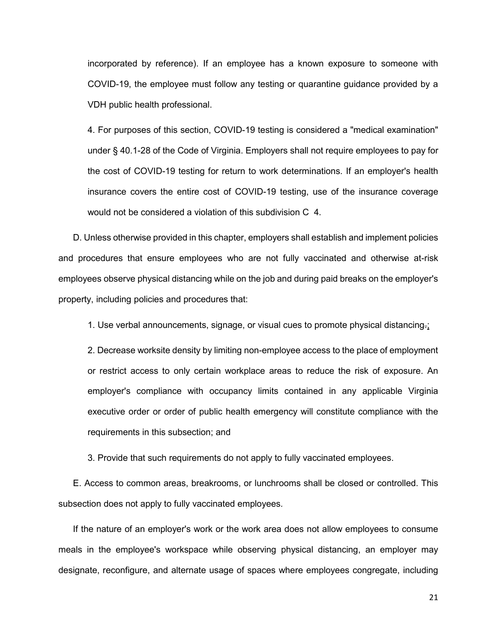incorporated by reference). If an employee has a known exposure to someone with COVID-19, the employee must follow any testing or quarantine guidance provided by a VDH public health professional.

4. For purposes of this section, COVID-19 testing is considered a "medical examination" under § 40.1-28 of the Code of Virginia. Employers shall not require employees to pay for the cost of COVID-19 testing for return to work determinations. If an employer's health insurance covers the entire cost of COVID-19 testing, use of the insurance coverage would not be considered a violation of this subdivision C 4.

D. Unless otherwise provided in this chapter, employers shall establish and implement policies and procedures that ensure employees who are not fully vaccinated and otherwise at-risk employees observe physical distancing while on the job and during paid breaks on the employer's property, including policies and procedures that:

1. Use verbal announcements, signage, or visual cues to promote physical distancing.

2. Decrease worksite density by limiting non-employee access to the place of employment or restrict access to only certain workplace areas to reduce the risk of exposure. An employer's compliance with occupancy limits contained in any applicable Virginia executive order or order of public health emergency will constitute compliance with the requirements in this subsection; and

3. Provide that such requirements do not apply to fully vaccinated employees.

E. Access to common areas, breakrooms, or lunchrooms shall be closed or controlled. This subsection does not apply to fully vaccinated employees*.* 

If the nature of an employer's work or the work area does not allow employees to consume meals in the employee's workspace while observing physical distancing, an employer may designate, reconfigure, and alternate usage of spaces where employees congregate, including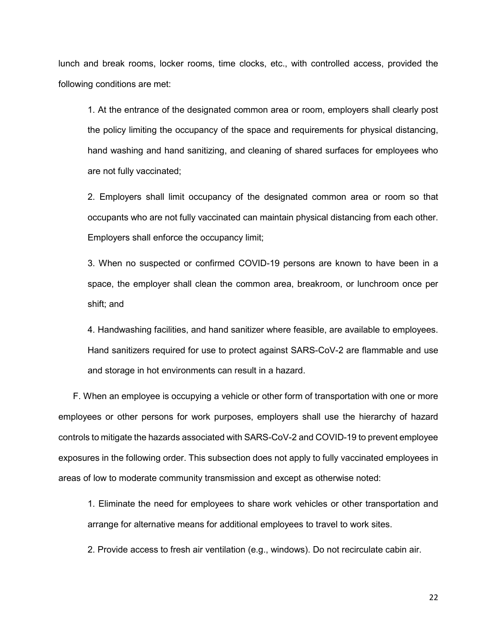lunch and break rooms, locker rooms, time clocks, etc., with controlled access, provided the following conditions are met:

1. At the entrance of the designated common area or room, employers shall clearly post the policy limiting the occupancy of the space and requirements for physical distancing, hand washing and hand sanitizing, and cleaning of shared surfaces for employees who are not fully vaccinated;

2. Employers shall limit occupancy of the designated common area or room so that occupants who are not fully vaccinated can maintain physical distancing from each other. Employers shall enforce the occupancy limit;

3. When no suspected or confirmed COVID-19 persons are known to have been in a space, the employer shall clean the common area, breakroom, or lunchroom once per shift; and

4. Handwashing facilities, and hand sanitizer where feasible, are available to employees. Hand sanitizers required for use to protect against SARS-CoV-2 are flammable and use and storage in hot environments can result in a hazard.

F. When an employee is occupying a vehicle or other form of transportation with one or more employees or other persons for work purposes, employers shall use the hierarchy of hazard controls to mitigate the hazards associated with SARS-CoV-2 and COVID-19 to prevent employee exposures in the following order. This subsection does not apply to fully vaccinated employees in areas of low to moderate community transmission and except as otherwise noted:

1. Eliminate the need for employees to share work vehicles or other transportation and arrange for alternative means for additional employees to travel to work sites.

2. Provide access to fresh air ventilation (e.g., windows). Do not recirculate cabin air.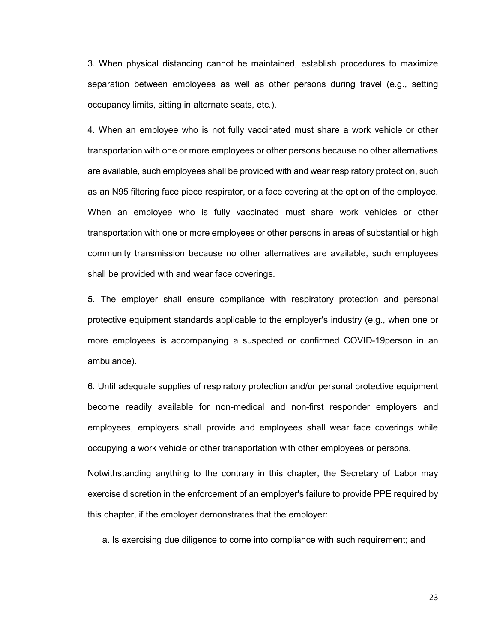3. When physical distancing cannot be maintained, establish procedures to maximize separation between employees as well as other persons during travel (e.g., setting occupancy limits, sitting in alternate seats, etc.).

4. When an employee who is not fully vaccinated must share a work vehicle or other transportation with one or more employees or other persons because no other alternatives are available, such employees shall be provided with and wear respiratory protection, such as an N95 filtering face piece respirator, or a face covering at the option of the employee. When an employee who is fully vaccinated must share work vehicles or other transportation with one or more employees or other persons in areas of substantial or high community transmission because no other alternatives are available, such employees shall be provided with and wear face coverings.

5. The employer shall ensure compliance with respiratory protection and personal protective equipment standards applicable to the employer's industry (e.g., when one or more employees is accompanying a suspected or confirmed COVID-19person in an ambulance).

6. Until adequate supplies of respiratory protection and/or personal protective equipment become readily available for non-medical and non-first responder employers and employees, employers shall provide and employees shall wear face coverings while occupying a work vehicle or other transportation with other employees or persons.

Notwithstanding anything to the contrary in this chapter, the Secretary of Labor may exercise discretion in the enforcement of an employer's failure to provide PPE required by this chapter, if the employer demonstrates that the employer:

a. Is exercising due diligence to come into compliance with such requirement; and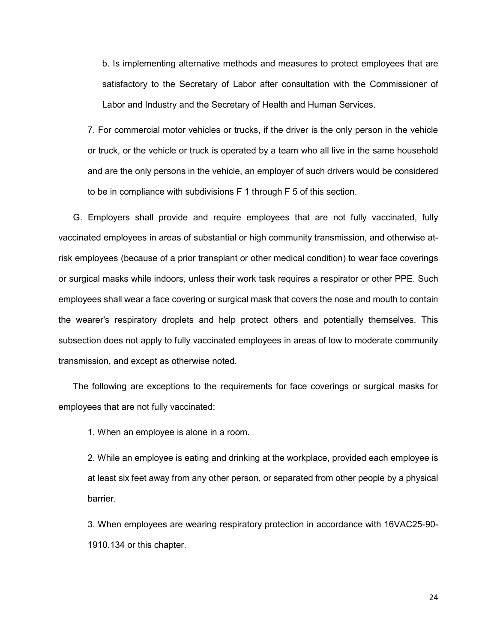b. Is implementing alternative methods and measures to protect employees that are satisfactory to the Secretary of Labor after consultation with the Commissioner of Labor and Industry and the Secretary of Health and Human Services.

7. For commercial motor vehicles or trucks, if the driver is the only person in the vehicle or truck, or the vehicle or truck is operated by a team who all live in the same household and are the only persons in the vehicle, an employer of such drivers would be considered to be in compliance with subdivisions F 1 through F 5 of this section.

G. Employers shall provide and require employees that are not fully vaccinated, fully vaccinated employees in areas of substantial or high community transmission, and otherwise atrisk employees (because of a prior transplant or other medical condition) to wear face coverings or surgical masks while indoors, unless their work task requires a respirator or other PPE. Such employees shall wear a face covering or surgical mask that covers the nose and mouth to contain the wearer's respiratory droplets and help protect others and potentially themselves. This subsection does not apply to fully vaccinated employees in areas of low to moderate community transmission, and except as otherwise noted.

The following are exceptions to the requirements for face coverings or surgical masks for employees that are not fully vaccinated:

1. When an employee is alone in a room.

2. While an employee is eating and drinking at the workplace, provided each employee is at least six feet away from any other person, or separated from other people by a physical barrier.

3. When employees are wearing respiratory protection in accordance with 16VAC25-90- 1910.134 or this chapter.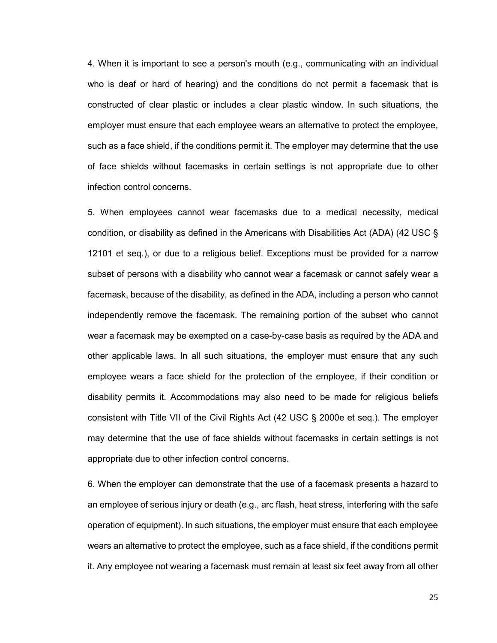4. When it is important to see a person's mouth (e.g., communicating with an individual who is deaf or hard of hearing) and the conditions do not permit a facemask that is constructed of clear plastic or includes a clear plastic window. In such situations, the employer must ensure that each employee wears an alternative to protect the employee, such as a face shield, if the conditions permit it. The employer may determine that the use of face shields without facemasks in certain settings is not appropriate due to other infection control concerns.

5. When employees cannot wear facemasks due to a medical necessity, medical condition, or disability as defined in the Americans with Disabilities Act (ADA) (42 USC § 12101 et seq.), or due to a religious belief. Exceptions must be provided for a narrow subset of persons with a disability who cannot wear a facemask or cannot safely wear a facemask, because of the disability, as defined in the ADA, including a person who cannot independently remove the facemask. The remaining portion of the subset who cannot wear a facemask may be exempted on a case-by-case basis as required by the ADA and other applicable laws. In all such situations, the employer must ensure that any such employee wears a face shield for the protection of the employee, if their condition or disability permits it. Accommodations may also need to be made for religious beliefs consistent with Title VII of the Civil Rights Act (42 USC § 2000e et seq.). The employer may determine that the use of face shields without facemasks in certain settings is not appropriate due to other infection control concerns.

6. When the employer can demonstrate that the use of a facemask presents a hazard to an employee of serious injury or death (e.g., arc flash, heat stress, interfering with the safe operation of equipment). In such situations, the employer must ensure that each employee wears an alternative to protect the employee, such as a face shield, if the conditions permit it. Any employee not wearing a facemask must remain at least six feet away from all other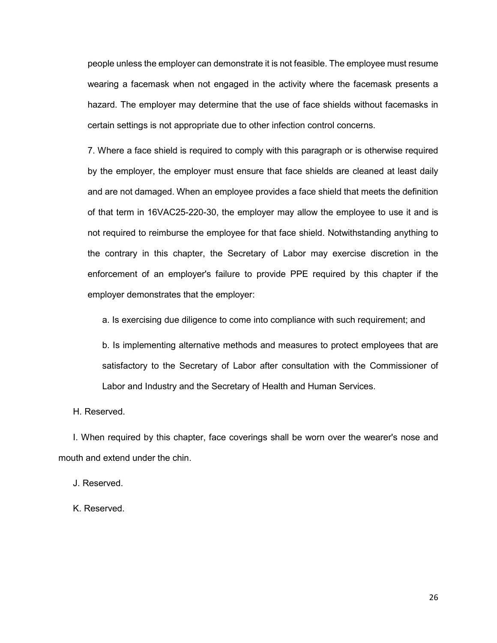people unless the employer can demonstrate it is not feasible. The employee must resume wearing a facemask when not engaged in the activity where the facemask presents a hazard. The employer may determine that the use of face shields without facemasks in certain settings is not appropriate due to other infection control concerns.

7. Where a face shield is required to comply with this paragraph or is otherwise required by the employer, the employer must ensure that face shields are cleaned at least daily and are not damaged. When an employee provides a face shield that meets the definition of that term in 16VAC25-220-30, the employer may allow the employee to use it and is not required to reimburse the employee for that face shield. Notwithstanding anything to the contrary in this chapter, the Secretary of Labor may exercise discretion in the enforcement of an employer's failure to provide PPE required by this chapter if the employer demonstrates that the employer:

a. Is exercising due diligence to come into compliance with such requirement; and

b. Is implementing alternative methods and measures to protect employees that are satisfactory to the Secretary of Labor after consultation with the Commissioner of Labor and Industry and the Secretary of Health and Human Services.

H. Reserved.

I. When required by this chapter, face coverings shall be worn over the wearer's nose and mouth and extend under the chin.

J. Reserved.

K. Reserved.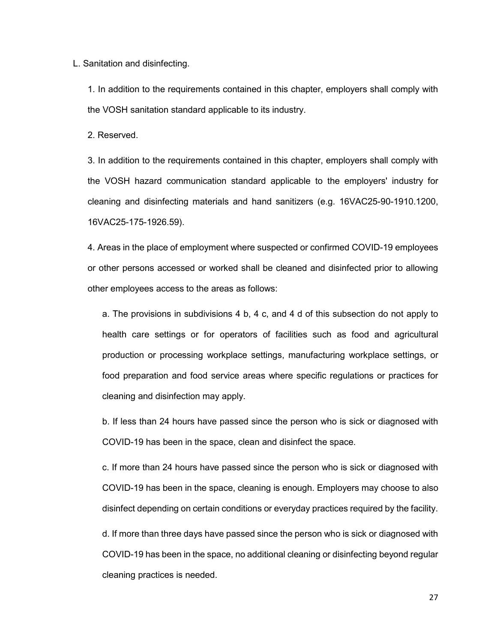L. Sanitation and disinfecting.

1. In addition to the requirements contained in this chapter, employers shall comply with the VOSH sanitation standard applicable to its industry.

2. Reserved.

3. In addition to the requirements contained in this chapter, employers shall comply with the VOSH hazard communication standard applicable to the employers' industry for cleaning and disinfecting materials and hand sanitizers (e.g. 16VAC25-90-1910.1200, 16VAC25-175-1926.59).

4. Areas in the place of employment where suspected or confirmed COVID-19 employees or other persons accessed or worked shall be cleaned and disinfected prior to allowing other employees access to the areas as follows:

a. The provisions in subdivisions 4 b, 4 c, and 4 d of this subsection do not apply to health care settings or for operators of facilities such as food and agricultural production or processing workplace settings, manufacturing workplace settings, or food preparation and food service areas where specific regulations or practices for cleaning and disinfection may apply.

b. If less than 24 hours have passed since the person who is sick or diagnosed with COVID-19 has been in the space, clean and disinfect the space.

c. If more than 24 hours have passed since the person who is sick or diagnosed with COVID-19 has been in the space, cleaning is enough. Employers may choose to also disinfect depending on certain conditions or everyday practices required by the facility.

d. If more than three days have passed since the person who is sick or diagnosed with COVID-19 has been in the space, no additional cleaning or disinfecting beyond regular cleaning practices is needed.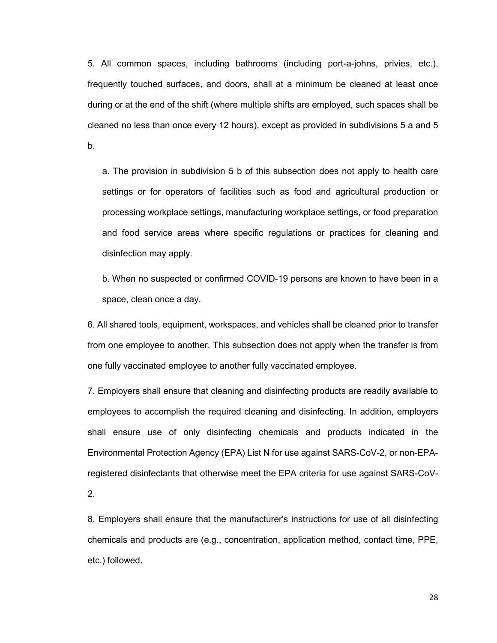5. All common spaces, including bathrooms (including port-a-johns, privies, etc.), frequently touched surfaces, and doors, shall at a minimum be cleaned at least once during or at the end of the shift (where multiple shifts are employed, such spaces shall be cleaned no less than once every 12 hours), except as provided in subdivisions 5 a and 5 b.

a. The provision in subdivision 5 b of this subsection does not apply to health care settings or for operators of facilities such as food and agricultural production or processing workplace settings, manufacturing workplace settings, or food preparation and food service areas where specific regulations or practices for cleaning and disinfection may apply.

b. When no suspected or confirmed COVID-19 persons are known to have been in a space, clean once a day.

6. All shared tools, equipment, workspaces, and vehicles shall be cleaned prior to transfer from one employee to another. This subsection does not apply when the transfer is from one fully vaccinated employee to another fully vaccinated employee.

7. Employers shall ensure that cleaning and disinfecting products are readily available to employees to accomplish the required cleaning and disinfecting. In addition, employers shall ensure use of only disinfecting chemicals and products indicated in the Environmental Protection Agency (EPA) List N for use against SARS-CoV-2, or non-EPAregistered disinfectants that otherwise meet the EPA criteria for use against SARS-CoV-2.

8. Employers shall ensure that the manufacturer's instructions for use of all disinfecting chemicals and products are (e.g., concentration, application method, contact time, PPE, etc.) followed.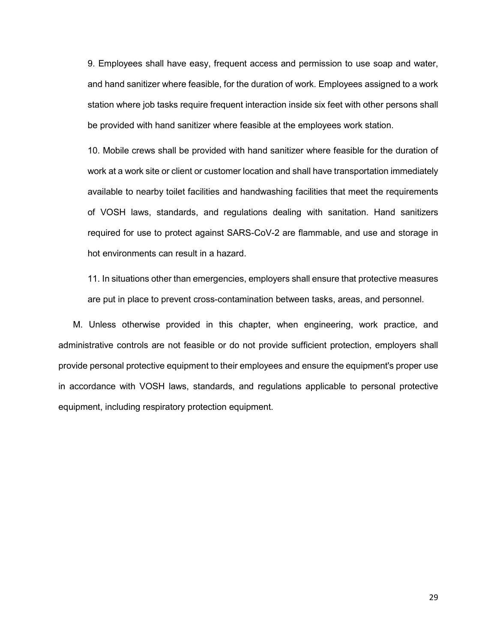9. Employees shall have easy, frequent access and permission to use soap and water, and hand sanitizer where feasible, for the duration of work. Employees assigned to a work station where job tasks require frequent interaction inside six feet with other persons shall be provided with hand sanitizer where feasible at the employees work station.

10. Mobile crews shall be provided with hand sanitizer where feasible for the duration of work at a work site or client or customer location and shall have transportation immediately available to nearby toilet facilities and handwashing facilities that meet the requirements of VOSH laws, standards, and regulations dealing with sanitation. Hand sanitizers required for use to protect against SARS-CoV-2 are flammable, and use and storage in hot environments can result in a hazard.

11. In situations other than emergencies, employers shall ensure that protective measures are put in place to prevent cross-contamination between tasks, areas, and personnel.

M. Unless otherwise provided in this chapter, when engineering, work practice, and administrative controls are not feasible or do not provide sufficient protection, employers shall provide personal protective equipment to their employees and ensure the equipment's proper use in accordance with VOSH laws, standards, and regulations applicable to personal protective equipment, including respiratory protection equipment.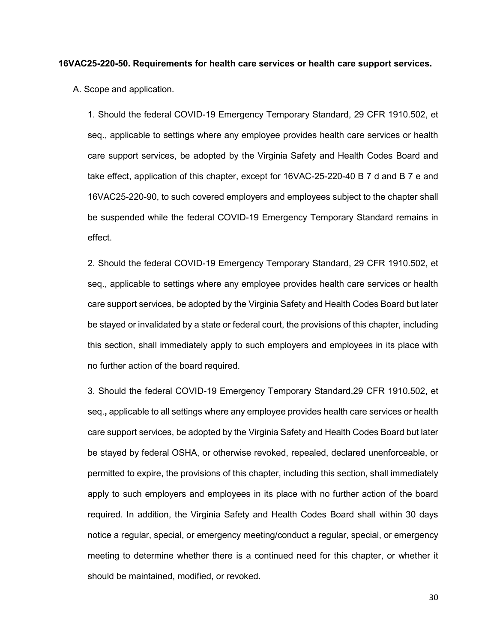#### **16VAC25-220-50. Requirements for health care services or health care support services.**

A. Scope and application.

1. Should the federal COVID-19 Emergency Temporary Standard, 29 CFR 1910.502, et seq., applicable to settings where any employee provides health care services or health care support services, be adopted by the Virginia Safety and Health Codes Board and take effect, application of this chapter, except for 16VAC-25-220-40 B 7 d and B 7 e and 16VAC25-220-90, to such covered employers and employees subject to the chapter shall be suspended while the federal COVID-19 Emergency Temporary Standard remains in effect.

2. Should the federal COVID-19 Emergency Temporary Standard, 29 CFR 1910.502, et seq., applicable to settings where any employee provides health care services or health care support services, be adopted by the Virginia Safety and Health Codes Board but later be stayed or invalidated by a state or federal court, the provisions of this chapter, including this section, shall immediately apply to such employers and employees in its place with no further action of the board required.

3. Should the federal COVID-19 Emergency Temporary Standard,29 CFR 1910.502, et seq.**,** applicable to all settings where any employee provides health care services or health care support services, be adopted by the Virginia Safety and Health Codes Board but later be stayed by federal OSHA, or otherwise revoked, repealed, declared unenforceable, or permitted to expire, the provisions of this chapter, including this section, shall immediately apply to such employers and employees in its place with no further action of the board required. In addition, the Virginia Safety and Health Codes Board shall within 30 days notice a regular, special, or emergency meeting/conduct a regular, special, or emergency meeting to determine whether there is a continued need for this chapter, or whether it should be maintained, modified, or revoked.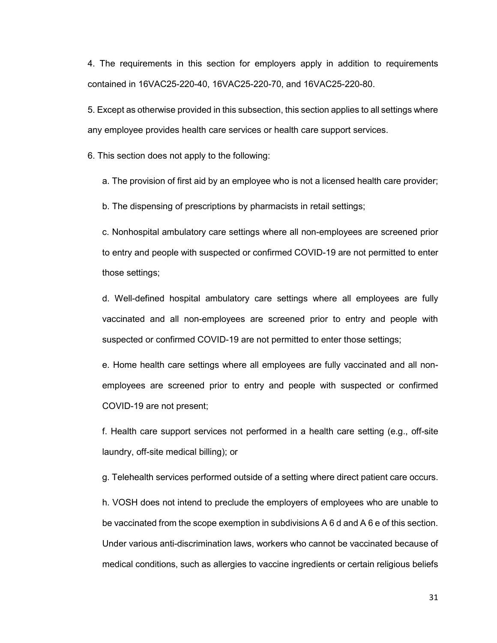4. The requirements in this section for employers apply in addition to requirements contained in 16VAC25-220-40, 16VAC25-220-70, and 16VAC25-220-80.

5. Except as otherwise provided in this subsection, this section applies to all settings where any employee provides health care services or health care support services.

6. This section does not apply to the following:

a. The provision of first aid by an employee who is not a licensed health care provider;

b. The dispensing of prescriptions by pharmacists in retail settings;

c. Nonhospital ambulatory care settings where all non-employees are screened prior to entry and people with suspected or confirmed COVID-19 are not permitted to enter those settings;

d. Well-defined hospital ambulatory care settings where all employees are fully vaccinated and all non-employees are screened prior to entry and people with suspected or confirmed COVID-19 are not permitted to enter those settings;

e. Home health care settings where all employees are fully vaccinated and all nonemployees are screened prior to entry and people with suspected or confirmed COVID-19 are not present;

f. Health care support services not performed in a health care setting (e.g., off-site laundry, off-site medical billing); or

g. Telehealth services performed outside of a setting where direct patient care occurs.

h. VOSH does not intend to preclude the employers of employees who are unable to be vaccinated from the scope exemption in subdivisions A 6 d and A 6 e of this section. Under various anti-discrimination laws, workers who cannot be vaccinated because of medical conditions, such as allergies to vaccine ingredients or certain religious beliefs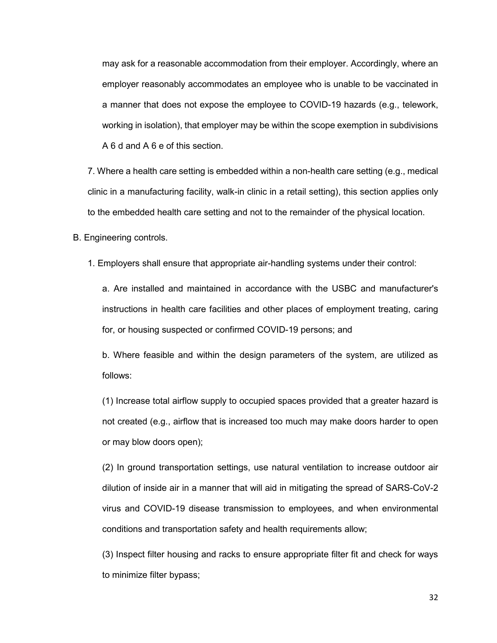may ask for a reasonable accommodation from their employer. Accordingly, where an employer reasonably accommodates an employee who is unable to be vaccinated in a manner that does not expose the employee to COVID-19 hazards (e.g., telework, working in isolation), that employer may be within the scope exemption in subdivisions A 6 d and A 6 e of this section.

7. Where a health care setting is embedded within a non-health care setting (e.g., medical clinic in a manufacturing facility, walk-in clinic in a retail setting), this section applies only to the embedded health care setting and not to the remainder of the physical location.

B. Engineering controls.

1. Employers shall ensure that appropriate air-handling systems under their control:

a. Are installed and maintained in accordance with the USBC and manufacturer's instructions in health care facilities and other places of employment treating, caring for, or housing suspected or confirmed COVID-19 persons; and

b. Where feasible and within the design parameters of the system, are utilized as follows:

(1) Increase total airflow supply to occupied spaces provided that a greater hazard is not created (e.g., airflow that is increased too much may make doors harder to open or may blow doors open);

(2) In ground transportation settings, use natural ventilation to increase outdoor air dilution of inside air in a manner that will aid in mitigating the spread of SARS-CoV-2 virus and COVID-19 disease transmission to employees, and when environmental conditions and transportation safety and health requirements allow;

(3) Inspect filter housing and racks to ensure appropriate filter fit and check for ways to minimize filter bypass;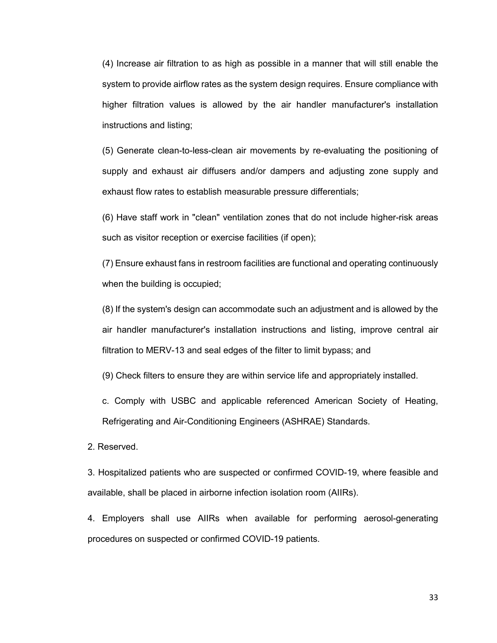(4) Increase air filtration to as high as possible in a manner that will still enable the system to provide airflow rates as the system design requires. Ensure compliance with higher filtration values is allowed by the air handler manufacturer's installation instructions and listing;

(5) Generate clean-to-less-clean air movements by re-evaluating the positioning of supply and exhaust air diffusers and/or dampers and adjusting zone supply and exhaust flow rates to establish measurable pressure differentials;

(6) Have staff work in "clean" ventilation zones that do not include higher-risk areas such as visitor reception or exercise facilities (if open);

(7) Ensure exhaust fans in restroom facilities are functional and operating continuously when the building is occupied;

(8) If the system's design can accommodate such an adjustment and is allowed by the air handler manufacturer's installation instructions and listing, improve central air filtration to MERV-13 and seal edges of the filter to limit bypass; and

(9) Check filters to ensure they are within service life and appropriately installed.

c. Comply with USBC and applicable referenced American Society of Heating, Refrigerating and Air-Conditioning Engineers (ASHRAE) Standards.

2. Reserved.

3. Hospitalized patients who are suspected or confirmed COVID-19, where feasible and available, shall be placed in airborne infection isolation room (AIIRs).

4. Employers shall use AIIRs when available for performing aerosol-generating procedures on suspected or confirmed COVID-19 patients.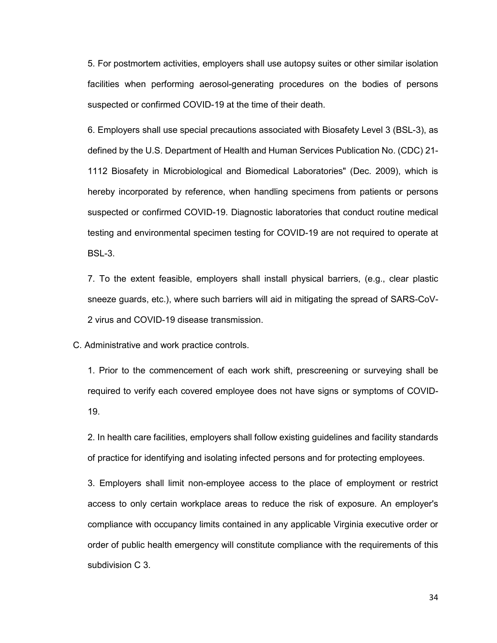5. For postmortem activities, employers shall use autopsy suites or other similar isolation facilities when performing aerosol-generating procedures on the bodies of persons suspected or confirmed COVID-19 at the time of their death.

6. Employers shall use special precautions associated with Biosafety Level 3 (BSL-3), as defined by the U.S. Department of Health and Human Services Publication No. (CDC) 21- 1112 Biosafety in Microbiological and Biomedical Laboratories" (Dec. 2009), which is hereby incorporated by reference, when handling specimens from patients or persons suspected or confirmed COVID-19. Diagnostic laboratories that conduct routine medical testing and environmental specimen testing for COVID-19 are not required to operate at BSL-3.

7. To the extent feasible, employers shall install physical barriers, (e.g., clear plastic sneeze guards, etc.), where such barriers will aid in mitigating the spread of SARS-CoV-2 virus and COVID-19 disease transmission.

C. Administrative and work practice controls.

1. Prior to the commencement of each work shift, prescreening or surveying shall be required to verify each covered employee does not have signs or symptoms of COVID-19.

2. In health care facilities, employers shall follow existing guidelines and facility standards of practice for identifying and isolating infected persons and for protecting employees.

3. Employers shall limit non-employee access to the place of employment or restrict access to only certain workplace areas to reduce the risk of exposure. An employer's compliance with occupancy limits contained in any applicable Virginia executive order or order of public health emergency will constitute compliance with the requirements of this subdivision C 3.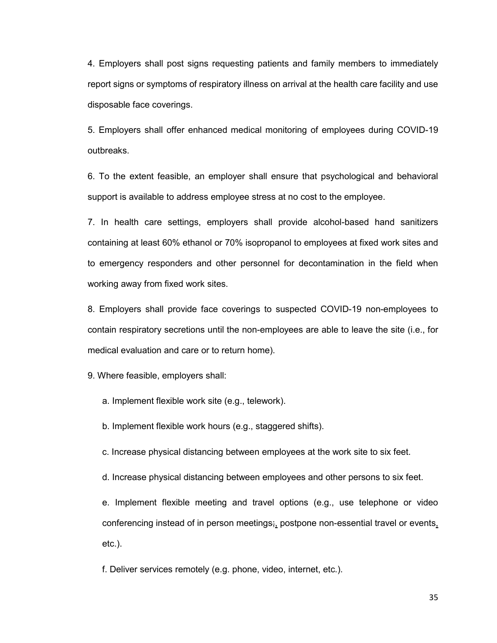4. Employers shall post signs requesting patients and family members to immediately report signs or symptoms of respiratory illness on arrival at the health care facility and use disposable face coverings.

5. Employers shall offer enhanced medical monitoring of employees during COVID-19 outbreaks.

6. To the extent feasible, an employer shall ensure that psychological and behavioral support is available to address employee stress at no cost to the employee.

7. In health care settings, employers shall provide alcohol-based hand sanitizers containing at least 60% ethanol or 70% isopropanol to employees at fixed work sites and to emergency responders and other personnel for decontamination in the field when working away from fixed work sites.

8. Employers shall provide face coverings to suspected COVID-19 non-employees to contain respiratory secretions until the non-employees are able to leave the site (i.e., for medical evaluation and care or to return home).

9. Where feasible, employers shall:

a. Implement flexible work site (e.g., telework).

b. Implement flexible work hours (e.g., staggered shifts).

c. Increase physical distancing between employees at the work site to six feet.

d. Increase physical distancing between employees and other persons to six feet.

e. Implement flexible meeting and travel options (e.g., use telephone or video conferencing instead of in person meetings;, postpone non-essential travel or events, etc.).

f. Deliver services remotely (e.g. phone, video, internet, etc.).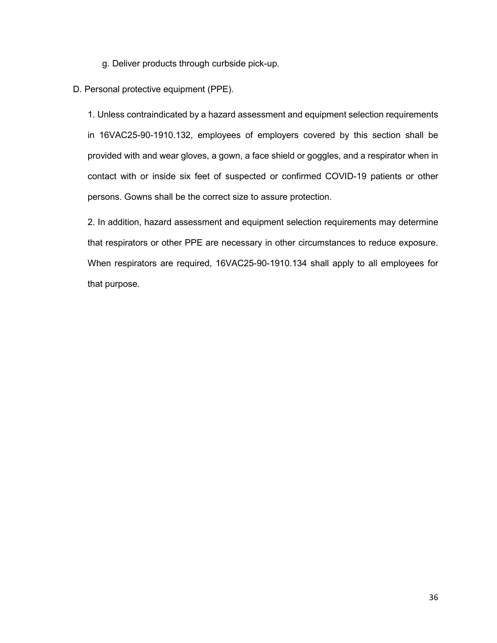g. Deliver products through curbside pick-up.

D. Personal protective equipment (PPE).

1. Unless contraindicated by a hazard assessment and equipment selection requirements in 16VAC25-90-1910.132, employees of employers covered by this section shall be provided with and wear gloves, a gown, a face shield or goggles, and a respirator when in contact with or inside six feet of suspected or confirmed COVID-19 patients or other persons. Gowns shall be the correct size to assure protection.

2. In addition, hazard assessment and equipment selection requirements may determine that respirators or other PPE are necessary in other circumstances to reduce exposure. When respirators are required, 16VAC25-90-1910.134 shall apply to all employees for that purpose.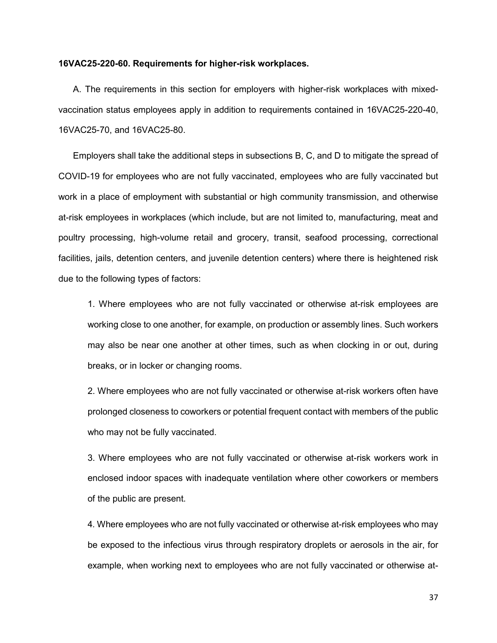#### **16VAC25-220-60. Requirements for higher-risk workplaces.**

A. The requirements in this section for employers with higher-risk workplaces with mixedvaccination status employees apply in addition to requirements contained in 16VAC25-220-40, 16VAC25-70, and 16VAC25-80.

Employers shall take the additional steps in subsections B, C, and D to mitigate the spread of COVID-19 for employees who are not fully vaccinated, employees who are fully vaccinated but work in a place of employment with substantial or high community transmission, and otherwise at-risk employees in workplaces (which include, but are not limited to, manufacturing, meat and poultry processing, high-volume retail and grocery, transit, seafood processing, correctional facilities, jails, detention centers, and juvenile detention centers) where there is heightened risk due to the following types of factors:

1. Where employees who are not fully vaccinated or otherwise at-risk employees are working close to one another, for example, on production or assembly lines. Such workers may also be near one another at other times, such as when clocking in or out, during breaks, or in locker or changing rooms.

2. Where employees who are not fully vaccinated or otherwise at-risk workers often have prolonged closeness to coworkers or potential frequent contact with members of the public who may not be fully vaccinated.

3. Where employees who are not fully vaccinated or otherwise at-risk workers work in enclosed indoor spaces with inadequate ventilation where other coworkers or members of the public are present.

4*.* Where employees who are not fully vaccinated or otherwise at-risk employees who may be exposed to the infectious virus through respiratory droplets or aerosols in the air, for example, when working next to employees who are not fully vaccinated or otherwise at-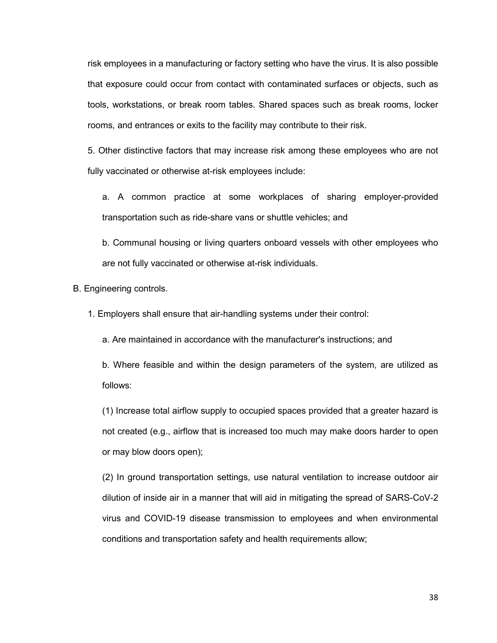risk employees in a manufacturing or factory setting who have the virus. It is also possible that exposure could occur from contact with contaminated surfaces or objects, such as tools, workstations, or break room tables. Shared spaces such as break rooms, locker rooms, and entrances or exits to the facility may contribute to their risk.

5. Other distinctive factors that may increase risk among these employees who are not fully vaccinated or otherwise at-risk employees include:

a. A common practice at some workplaces of sharing employer-provided transportation such as ride-share vans or shuttle vehicles; and

b. Communal housing or living quarters onboard vessels with other employees who are not fully vaccinated or otherwise at-risk individuals.

B. Engineering controls.

1. Employers shall ensure that air-handling systems under their control:

a. Are maintained in accordance with the manufacturer's instructions; and

b. Where feasible and within the design parameters of the system, are utilized as follows:

(1) Increase total airflow supply to occupied spaces provided that a greater hazard is not created (e.g., airflow that is increased too much may make doors harder to open or may blow doors open);

(2) In ground transportation settings, use natural ventilation to increase outdoor air dilution of inside air in a manner that will aid in mitigating the spread of SARS-CoV-2 virus and COVID-19 disease transmission to employees and when environmental conditions and transportation safety and health requirements allow;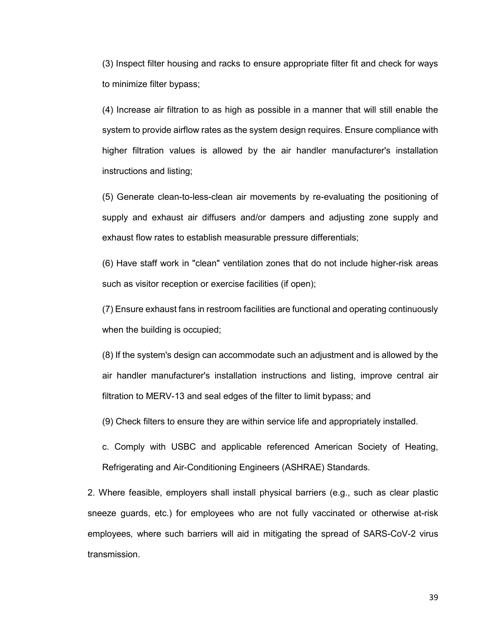(3) Inspect filter housing and racks to ensure appropriate filter fit and check for ways to minimize filter bypass;

(4) Increase air filtration to as high as possible in a manner that will still enable the system to provide airflow rates as the system design requires. Ensure compliance with higher filtration values is allowed by the air handler manufacturer's installation instructions and listing;

(5) Generate clean-to-less-clean air movements by re-evaluating the positioning of supply and exhaust air diffusers and/or dampers and adjusting zone supply and exhaust flow rates to establish measurable pressure differentials;

(6) Have staff work in "clean" ventilation zones that do not include higher-risk areas such as visitor reception or exercise facilities (if open);

(7) Ensure exhaust fans in restroom facilities are functional and operating continuously when the building is occupied;

(8) If the system's design can accommodate such an adjustment and is allowed by the air handler manufacturer's installation instructions and listing, improve central air filtration to MERV-13 and seal edges of the filter to limit bypass; and

(9) Check filters to ensure they are within service life and appropriately installed.

c. Comply with USBC and applicable referenced American Society of Heating, Refrigerating and Air-Conditioning Engineers (ASHRAE) Standards.

2. Where feasible, employers shall install physical barriers (e.g., such as clear plastic sneeze guards, etc.) for employees who are not fully vaccinated or otherwise at-risk employees*,* where such barriers will aid in mitigating the spread of SARS-CoV-2 virus transmission.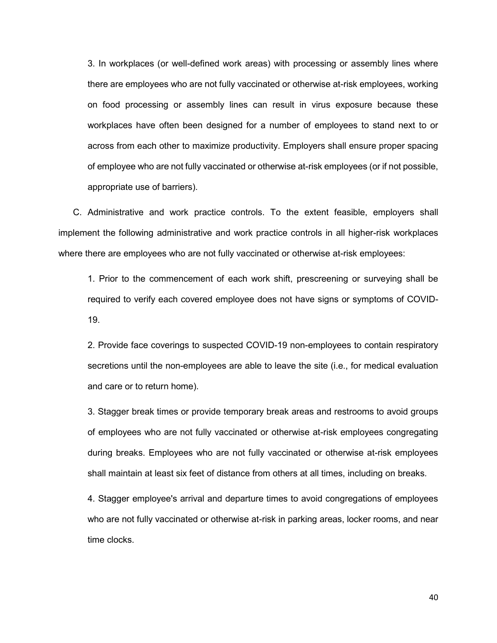3. In workplaces (or well-defined work areas) with processing or assembly lines where there are employees who are not fully vaccinated or otherwise at-risk employees, working on food processing or assembly lines can result in virus exposure because these workplaces have often been designed for a number of employees to stand next to or across from each other to maximize productivity. Employers shall ensure proper spacing of employee who are not fully vaccinated or otherwise at-risk employees (or if not possible, appropriate use of barriers).

C. Administrative and work practice controls. To the extent feasible, employers shall implement the following administrative and work practice controls in all higher-risk workplaces where there are employees who are not fully vaccinated or otherwise at-risk employees:

1. Prior to the commencement of each work shift, prescreening or surveying shall be required to verify each covered employee does not have signs or symptoms of COVID-19.

2. Provide face coverings to suspected COVID-19 non-employees to contain respiratory secretions until the non-employees are able to leave the site (i.e., for medical evaluation and care or to return home).

3. Stagger break times or provide temporary break areas and restrooms to avoid groups of employees who are not fully vaccinated or otherwise at-risk employees congregating during breaks. Employees who are not fully vaccinated or otherwise at-risk employees shall maintain at least six feet of distance from others at all times, including on breaks*.*

4. Stagger employee's arrival and departure times to avoid congregations of employees who are not fully vaccinated or otherwise at-risk in parking areas, locker rooms, and near time clocks.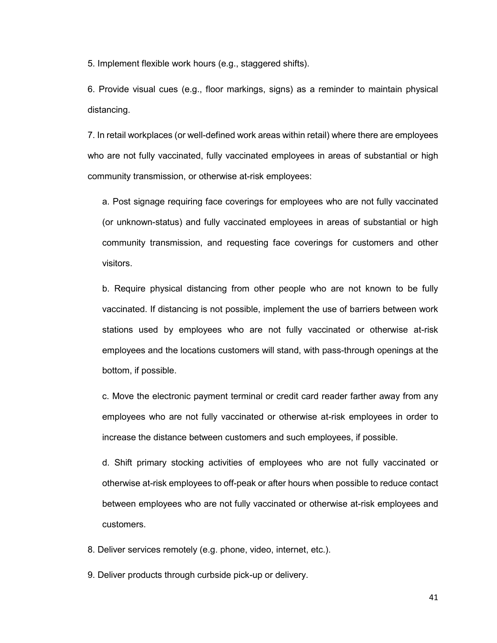5. Implement flexible work hours (e.g., staggered shifts).

6. Provide visual cues (e.g., floor markings, signs) as a reminder to maintain physical distancing.

7. In retail workplaces (or well-defined work areas within retail) where there are employees who are not fully vaccinated, fully vaccinated employees in areas of substantial or high community transmission, or otherwise at-risk employees:

a. Post signage requiring face coverings for employees who are not fully vaccinated (or unknown-status) and fully vaccinated employees in areas of substantial or high community transmission, and requesting face coverings for customers and other visitors.

b. Require physical distancing from other people who are not known to be fully vaccinated. If distancing is not possible, implement the use of barriers between work stations used by employees who are not fully vaccinated or otherwise at-risk employees and the locations customers will stand, with pass-through openings at the bottom, if possible.

c. Move the electronic payment terminal or credit card reader farther away from any employees who are not fully vaccinated or otherwise at-risk employees in order to increase the distance between customers and such employees, if possible.

d. Shift primary stocking activities of employees who are not fully vaccinated or otherwise at-risk employees to off-peak or after hours when possible to reduce contact between employees who are not fully vaccinated or otherwise at-risk employees and customers.

8. Deliver services remotely (e.g. phone, video, internet, etc.).

9. Deliver products through curbside pick-up or delivery.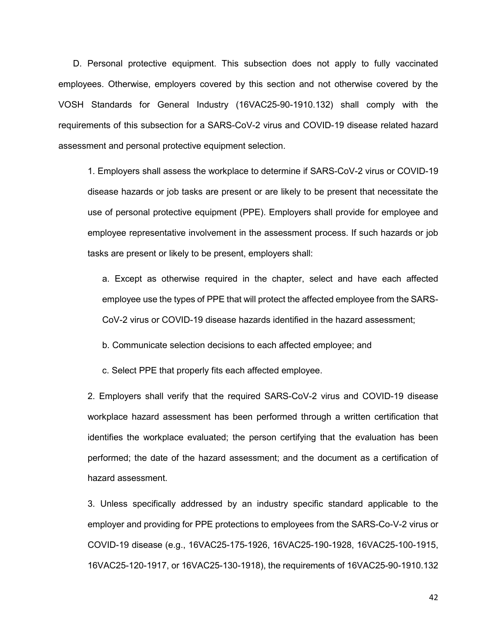D. Personal protective equipment. This subsection does not apply to fully vaccinated employees. Otherwise, employers covered by this section and not otherwise covered by the VOSH Standards for General Industry (16VAC25-90-1910.132) shall comply with the requirements of this subsection for a SARS-CoV-2 virus and COVID-19 disease related hazard assessment and personal protective equipment selection.

1. Employers shall assess the workplace to determine if SARS-CoV-2 virus or COVID-19 disease hazards or job tasks are present or are likely to be present that necessitate the use of personal protective equipment (PPE). Employers shall provide for employee and employee representative involvement in the assessment process. If such hazards or job tasks are present or likely to be present, employers shall:

a. Except as otherwise required in the chapter, select and have each affected employee use the types of PPE that will protect the affected employee from the SARS-CoV-2 virus or COVID-19 disease hazards identified in the hazard assessment;

b. Communicate selection decisions to each affected employee; and

c. Select PPE that properly fits each affected employee.

2. Employers shall verify that the required SARS-CoV-2 virus and COVID-19 disease workplace hazard assessment has been performed through a written certification that identifies the workplace evaluated; the person certifying that the evaluation has been performed; the date of the hazard assessment; and the document as a certification of hazard assessment.

3. Unless specifically addressed by an industry specific standard applicable to the employer and providing for PPE protections to employees from the SARS-Co-V-2 virus or COVID-19 disease (e.g., 16VAC25-175-1926, 16VAC25-190-1928, 16VAC25-100-1915, 16VAC25-120-1917, or 16VAC25-130-1918), the requirements of 16VAC25-90-1910.132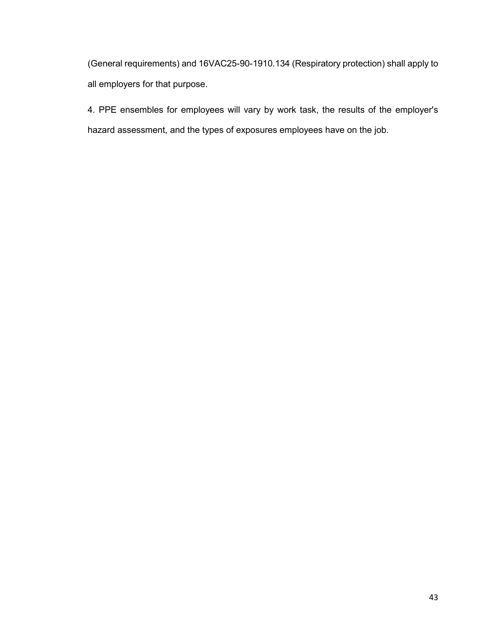(General requirements) and 16VAC25-90-1910.134 (Respiratory protection) shall apply to all employers for that purpose.

4. PPE ensembles for employees will vary by work task, the results of the employer's hazard assessment, and the types of exposures employees have on the job.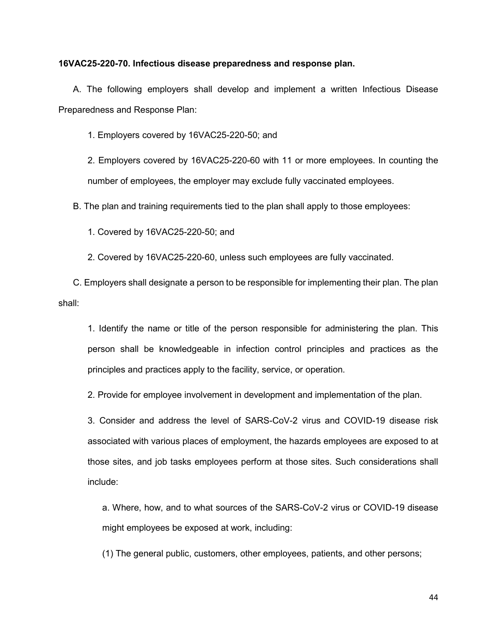#### **16VAC25-220-70. Infectious disease preparedness and response plan.**

A. The following employers shall develop and implement a written Infectious Disease Preparedness and Response Plan:

1. Employers covered by 16VAC25-220-50; and

2. Employers covered by 16VAC25-220-60 with 11 or more employees. In counting the number of employees, the employer may exclude fully vaccinated employees.

B. The plan and training requirements tied to the plan shall apply to those employees:

1. Covered by 16VAC25-220-50; and

2. Covered by 16VAC25-220-60, unless such employees are fully vaccinated.

C. Employers shall designate a person to be responsible for implementing their plan. The plan shall:

1. Identify the name or title of the person responsible for administering the plan. This person shall be knowledgeable in infection control principles and practices as the principles and practices apply to the facility, service, or operation.

2. Provide for employee involvement in development and implementation of the plan.

3. Consider and address the level of SARS-CoV-2 virus and COVID-19 disease risk associated with various places of employment, the hazards employees are exposed to at those sites, and job tasks employees perform at those sites. Such considerations shall include:

a. Where, how, and to what sources of the SARS-CoV-2 virus or COVID-19 disease might employees be exposed at work, including:

(1) The general public, customers, other employees, patients, and other persons;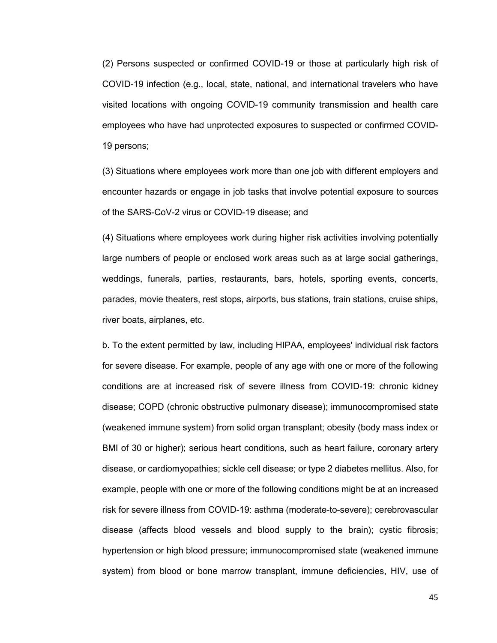(2) Persons suspected or confirmed COVID-19 or those at particularly high risk of COVID-19 infection (e.g., local, state, national, and international travelers who have visited locations with ongoing COVID-19 community transmission and health care employees who have had unprotected exposures to suspected or confirmed COVID-19 persons;

(3) Situations where employees work more than one job with different employers and encounter hazards or engage in job tasks that involve potential exposure to sources of the SARS-CoV-2 virus or COVID-19 disease; and

(4) Situations where employees work during higher risk activities involving potentially large numbers of people or enclosed work areas such as at large social gatherings, weddings, funerals, parties, restaurants, bars, hotels, sporting events, concerts, parades, movie theaters, rest stops, airports, bus stations, train stations, cruise ships, river boats, airplanes, etc.

b. To the extent permitted by law, including HIPAA, employees' individual risk factors for severe disease. For example, people of any age with one or more of the following conditions are at increased risk of severe illness from COVID-19: chronic kidney disease; COPD (chronic obstructive pulmonary disease); immunocompromised state (weakened immune system) from solid organ transplant; obesity (body mass index or BMI of 30 or higher); serious heart conditions, such as heart failure, coronary artery disease, or cardiomyopathies; sickle cell disease; or type 2 diabetes mellitus. Also, for example, people with one or more of the following conditions might be at an increased risk for severe illness from COVID-19: asthma (moderate-to-severe); cerebrovascular disease (affects blood vessels and blood supply to the brain); cystic fibrosis; hypertension or high blood pressure; immunocompromised state (weakened immune system) from blood or bone marrow transplant, immune deficiencies, HIV, use of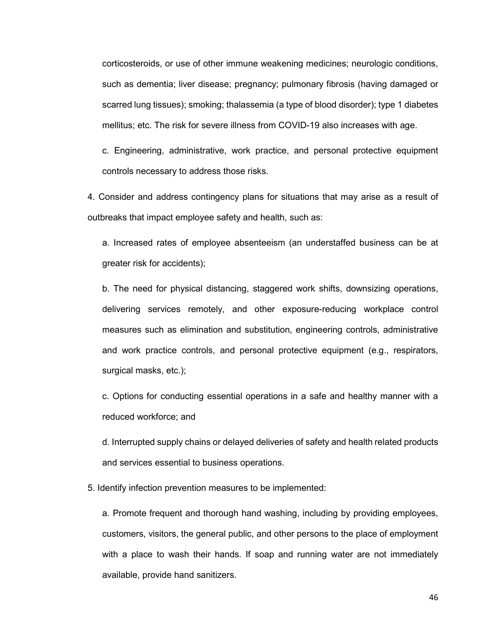corticosteroids, or use of other immune weakening medicines; neurologic conditions, such as dementia; liver disease; pregnancy; pulmonary fibrosis (having damaged or scarred lung tissues); smoking; thalassemia (a type of blood disorder); type 1 diabetes mellitus; etc. The risk for severe illness from COVID-19 also increases with age.

c. Engineering, administrative, work practice, and personal protective equipment controls necessary to address those risks.

4. Consider and address contingency plans for situations that may arise as a result of outbreaks that impact employee safety and health, such as:

a. Increased rates of employee absenteeism (an understaffed business can be at greater risk for accidents);

b. The need for physical distancing, staggered work shifts, downsizing operations, delivering services remotely, and other exposure-reducing workplace control measures such as elimination and substitution, engineering controls, administrative and work practice controls, and personal protective equipment (e.g., respirators, surgical masks, etc.);

c. Options for conducting essential operations in a safe and healthy manner with a reduced workforce; and

d. Interrupted supply chains or delayed deliveries of safety and health related products and services essential to business operations.

5. Identify infection prevention measures to be implemented:

a. Promote frequent and thorough hand washing, including by providing employees, customers, visitors, the general public, and other persons to the place of employment with a place to wash their hands. If soap and running water are not immediately available, provide hand sanitizers.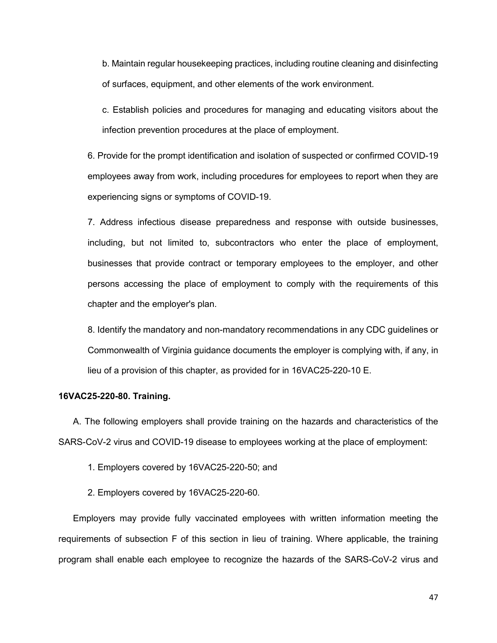b. Maintain regular housekeeping practices, including routine cleaning and disinfecting of surfaces, equipment, and other elements of the work environment.

c. Establish policies and procedures for managing and educating visitors about the infection prevention procedures at the place of employment.

6. Provide for the prompt identification and isolation of suspected or confirmed COVID-19 employees away from work, including procedures for employees to report when they are experiencing signs or symptoms of COVID-19.

7. Address infectious disease preparedness and response with outside businesses, including, but not limited to, subcontractors who enter the place of employment, businesses that provide contract or temporary employees to the employer, and other persons accessing the place of employment to comply with the requirements of this chapter and the employer's plan.

8. Identify the mandatory and non-mandatory recommendations in any CDC guidelines or Commonwealth of Virginia guidance documents the employer is complying with, if any, in lieu of a provision of this chapter, as provided for in 16VAC25-220-10 E.

#### **16VAC25-220-80. Training.**

A. The following employers shall provide training on the hazards and characteristics of the SARS-CoV-2 virus and COVID-19 disease to employees working at the place of employment:

1. Employers covered by 16VAC25-220-50; and

2. Employers covered by 16VAC25-220-60.

Employers may provide fully vaccinated employees with written information meeting the requirements of subsection F of this section in lieu of training. Where applicable, the training program shall enable each employee to recognize the hazards of the SARS-CoV-2 virus and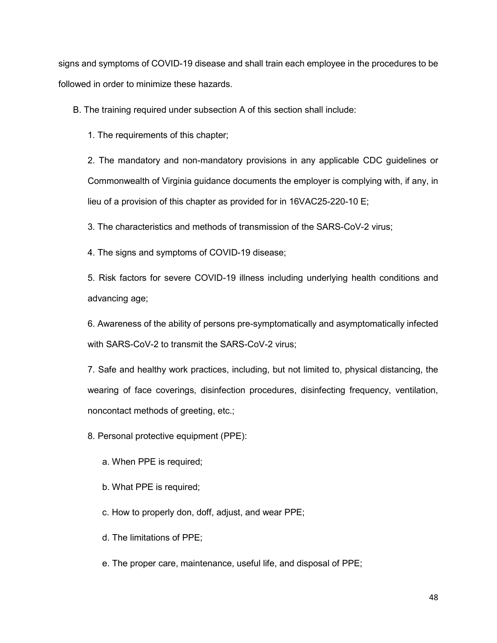signs and symptoms of COVID-19 disease and shall train each employee in the procedures to be followed in order to minimize these hazards.

B. The training required under subsection A of this section shall include:

1. The requirements of this chapter;

2. The mandatory and non-mandatory provisions in any applicable CDC guidelines or Commonwealth of Virginia guidance documents the employer is complying with, if any, in lieu of a provision of this chapter as provided for in 16VAC25-220-10 E;

3. The characteristics and methods of transmission of the SARS-CoV-2 virus;

4. The signs and symptoms of COVID-19 disease;

5. Risk factors for severe COVID-19 illness including underlying health conditions and advancing age;

6. Awareness of the ability of persons pre-symptomatically and asymptomatically infected with SARS-CoV-2 to transmit the SARS-CoV-2 virus;

7. Safe and healthy work practices, including, but not limited to, physical distancing, the wearing of face coverings, disinfection procedures, disinfecting frequency, ventilation, noncontact methods of greeting, etc.;

8. Personal protective equipment (PPE):

- a. When PPE is required;
- b. What PPE is required;
- c. How to properly don, doff, adjust, and wear PPE;
- d. The limitations of PPE;
- e. The proper care, maintenance, useful life, and disposal of PPE;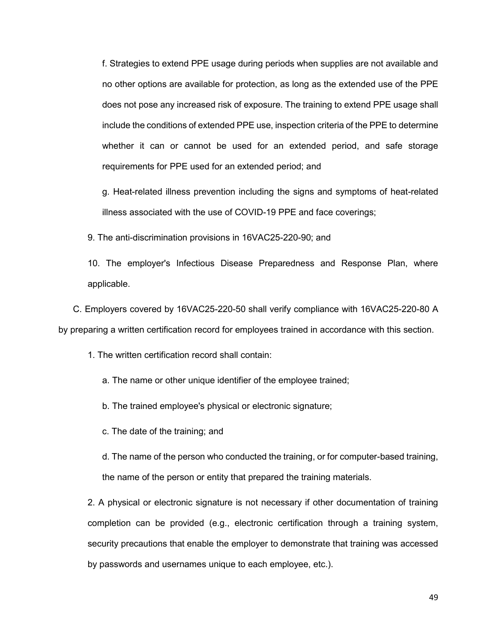f. Strategies to extend PPE usage during periods when supplies are not available and no other options are available for protection, as long as the extended use of the PPE does not pose any increased risk of exposure. The training to extend PPE usage shall include the conditions of extended PPE use, inspection criteria of the PPE to determine whether it can or cannot be used for an extended period, and safe storage requirements for PPE used for an extended period; and

g. Heat-related illness prevention including the signs and symptoms of heat-related illness associated with the use of COVID-19 PPE and face coverings;

9. The anti-discrimination provisions in 16VAC25-220-90; and

10. The employer's Infectious Disease Preparedness and Response Plan, where applicable.

C. Employers covered by 16VAC25-220-50 shall verify compliance with 16VAC25-220-80 A by preparing a written certification record for employees trained in accordance with this section.

1. The written certification record shall contain:

a. The name or other unique identifier of the employee trained;

b. The trained employee's physical or electronic signature;

c. The date of the training; and

d. The name of the person who conducted the training, or for computer-based training, the name of the person or entity that prepared the training materials.

2. A physical or electronic signature is not necessary if other documentation of training completion can be provided (e.g., electronic certification through a training system, security precautions that enable the employer to demonstrate that training was accessed by passwords and usernames unique to each employee, etc.).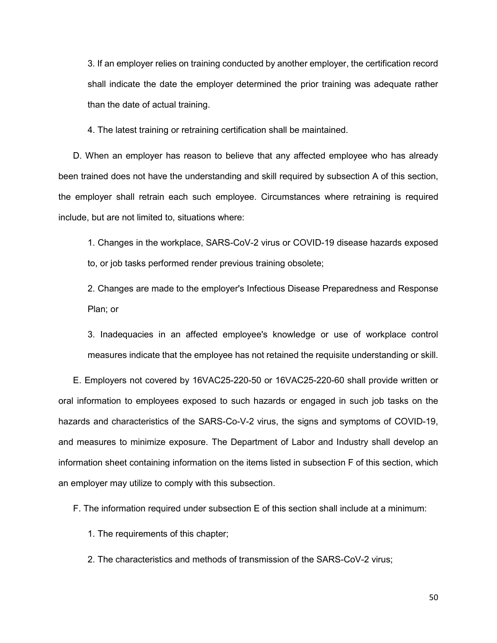3. If an employer relies on training conducted by another employer, the certification record shall indicate the date the employer determined the prior training was adequate rather than the date of actual training.

4. The latest training or retraining certification shall be maintained.

D. When an employer has reason to believe that any affected employee who has already been trained does not have the understanding and skill required by subsection A of this section, the employer shall retrain each such employee. Circumstances where retraining is required include, but are not limited to, situations where:

1. Changes in the workplace, SARS-CoV-2 virus or COVID-19 disease hazards exposed to, or job tasks performed render previous training obsolete;

2. Changes are made to the employer's Infectious Disease Preparedness and Response Plan; or

3. Inadequacies in an affected employee's knowledge or use of workplace control measures indicate that the employee has not retained the requisite understanding or skill.

E. Employers not covered by 16VAC25-220-50 or 16VAC25-220-60 shall provide written or oral information to employees exposed to such hazards or engaged in such job tasks on the hazards and characteristics of the SARS-Co-V-2 virus, the signs and symptoms of COVID-19, and measures to minimize exposure. The Department of Labor and Industry shall develop an information sheet containing information on the items listed in subsection F of this section, which an employer may utilize to comply with this subsection.

F. The information required under subsection E of this section shall include at a minimum:

1. The requirements of this chapter;

2. The characteristics and methods of transmission of the SARS-CoV-2 virus;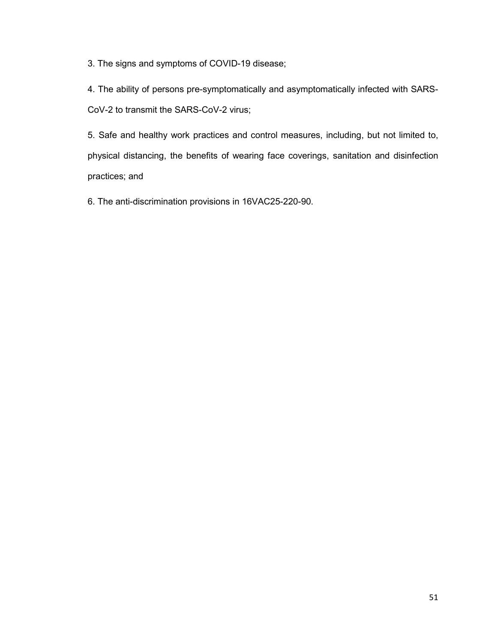3. The signs and symptoms of COVID-19 disease;

4. The ability of persons pre-symptomatically and asymptomatically infected with SARS-CoV-2 to transmit the SARS-CoV-2 virus;

5. Safe and healthy work practices and control measures, including, but not limited to, physical distancing, the benefits of wearing face coverings, sanitation and disinfection practices; and

6. The anti-discrimination provisions in 16VAC25-220-90.